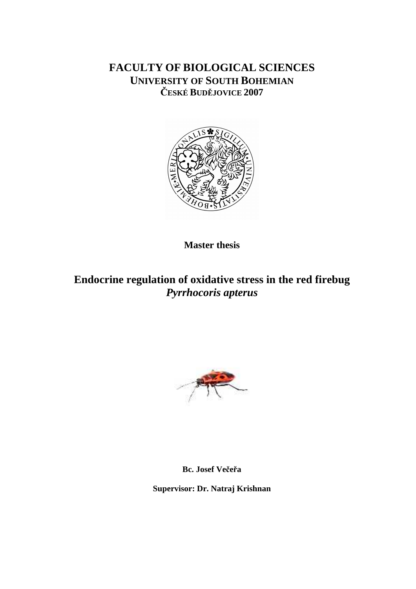# **FACULTY OF BIOLOGICAL SCIENCES UNIVERSITY OF SOUTH BOHEMIAN** Č**ESKÉ BUD**Ě**JOVICE 2007**



**Master thesis** 

# **Endocrine regulation of oxidative stress in the red firebug**  *Pyrrhocoris apterus*



**Bc. Josef Ve**č**e**ř**a** 

**Supervisor: Dr. Natraj Krishnan**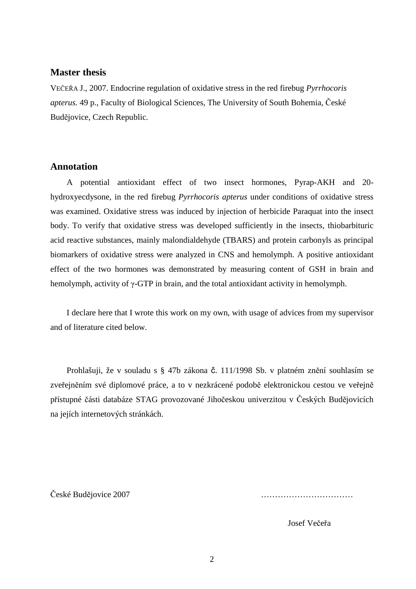## **Master thesis**

VEČEŘA J., 2007. Endocrine regulation of oxidative stress in the red firebug *Pyrrhocoris apterus.* 49 p., Faculty of Biological Sciences, The University of South Bohemia, České Budějovice, Czech Republic.

# **Annotation**

A potential antioxidant effect of two insect hormones, Pyrap-AKH and 20 hydroxyecdysone, in the red firebug *Pyrrhocoris apterus* under conditions of oxidative stress was examined. Oxidative stress was induced by injection of herbicide Paraquat into the insect body. To verify that oxidative stress was developed sufficiently in the insects, thiobarbituric acid reactive substances, mainly malondialdehyde (TBARS) and protein carbonyls as principal biomarkers of oxidative stress were analyzed in CNS and hemolymph. A positive antioxidant effect of the two hormones was demonstrated by measuring content of GSH in brain and hemolymph, activity of γ-GTP in brain, and the total antioxidant activity in hemolymph.

I declare here that I wrote this work on my own, with usage of advices from my supervisor and of literature cited below.

Prohlašuji, že v souladu s § 47b zákona č. 111/1998 Sb. v platném znění souhlasím se zveřejněním své diplomové práce, a to v nezkrácené podobě elektronickou cestou ve veřejně přístupné části databáze STAG provozované Jihočeskou univerzitou v Českých Budějovicích na jejích internetových stránkách.

České Budějovice 2007 ……………………………

Josef Večeřa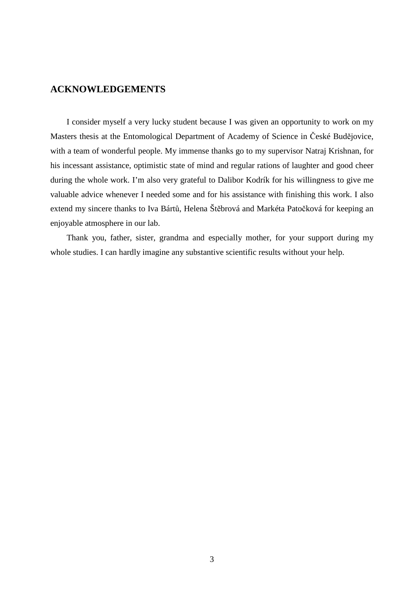## **ACKNOWLEDGEMENTS**

I consider myself a very lucky student because I was given an opportunity to work on my Masters thesis at the Entomological Department of Academy of Science in České Budějovice, with a team of wonderful people. My immense thanks go to my supervisor Natraj Krishnan, for his incessant assistance, optimistic state of mind and regular rations of laughter and good cheer during the whole work. I'm also very grateful to Dalibor Kodrík for his willingness to give me valuable advice whenever I needed some and for his assistance with finishing this work. I also extend my sincere thanks to Iva Bártů, Helena Štěbrová and Markéta Patočková for keeping an enjoyable atmosphere in our lab.

Thank you, father, sister, grandma and especially mother, for your support during my whole studies. I can hardly imagine any substantive scientific results without your help.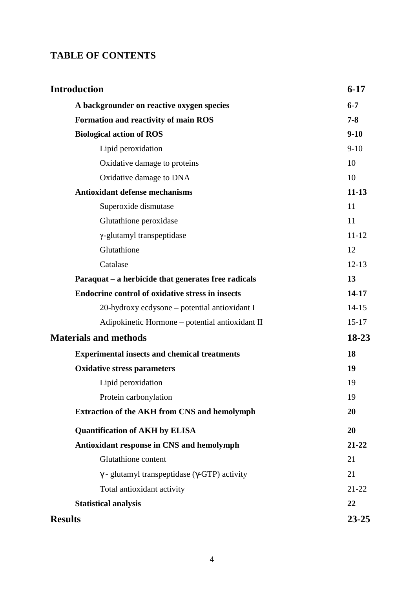# **TABLE OF CONTENTS**

| <b>Introduction</b>                                          | $6 - 17$  |
|--------------------------------------------------------------|-----------|
| A backgrounder on reactive oxygen species                    | $6 - 7$   |
| <b>Formation and reactivity of main ROS</b>                  | $7 - 8$   |
| <b>Biological action of ROS</b>                              | $9-10$    |
| Lipid peroxidation                                           | $9-10$    |
| Oxidative damage to proteins                                 | 10        |
| Oxidative damage to DNA                                      | 10        |
| <b>Antioxidant defense mechanisms</b>                        | $11-13$   |
| Superoxide dismutase                                         | 11        |
| Glutathione peroxidase                                       | 11        |
| $\gamma$ -glutamyl transpeptidase                            | $11 - 12$ |
| Glutathione                                                  | 12        |
| Catalase                                                     | $12 - 13$ |
| Paraquat – a herbicide that generates free radicals          | 13        |
| <b>Endocrine control of oxidative stress in insects</b>      | 14-17     |
| 20-hydroxy ecdysone – potential antioxidant I                | $14-15$   |
| Adipokinetic Hormone – potential antioxidant II              | $15-17$   |
| <b>Materials and methods</b>                                 | 18-23     |
| <b>Experimental insects and chemical treatments</b>          | 18        |
| <b>Oxidative stress parameters</b>                           | 19        |
| Lipid peroxidation                                           | 19        |
| Protein carbonylation                                        | 19        |
| <b>Extraction of the AKH from CNS and hemolymph</b>          | 20        |
| <b>Quantification of AKH by ELISA</b>                        | 20        |
| Antioxidant response in CNS and hemolymph                    | 21-22     |
| Glutathione content                                          | 21        |
| $\gamma$ - glutamyl transpeptidase ( $\gamma$ -GTP) activity | 21        |
| Total antioxidant activity                                   | $21 - 22$ |
| <b>Statistical analysis</b>                                  | 22        |
| <b>Results</b>                                               | $23 - 25$ |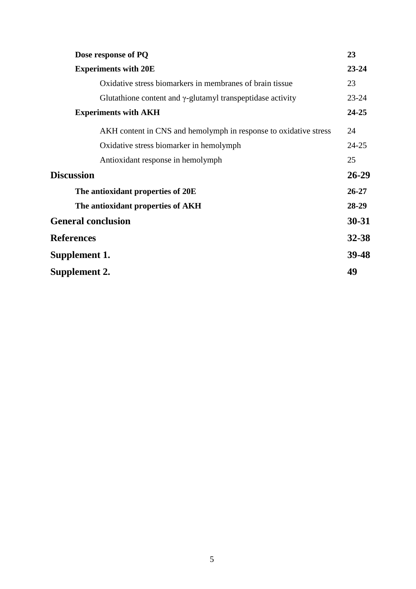| Dose response of PQ                                                | 23        |
|--------------------------------------------------------------------|-----------|
| <b>Experiments with 20E</b>                                        | $23 - 24$ |
| Oxidative stress biomarkers in membranes of brain tissue           | 23        |
| Glutathione content and $\gamma$ -glutamyl transpeptidase activity | $23 - 24$ |
| <b>Experiments with AKH</b>                                        | 24-25     |
| AKH content in CNS and hemolymph in response to oxidative stress   | 24        |
| Oxidative stress biomarker in hemolymph                            | $24 - 25$ |
| Antioxidant response in hemolymph                                  | 25        |
| <b>Discussion</b>                                                  | $26 - 29$ |
| The antioxidant properties of 20E                                  | $26 - 27$ |
| The antioxidant properties of AKH                                  | 28-29     |
| <b>General conclusion</b>                                          | $30 - 31$ |
| <b>References</b>                                                  | 32-38     |
| Supplement 1.                                                      | 39-48     |
| Supplement 2.                                                      | 49        |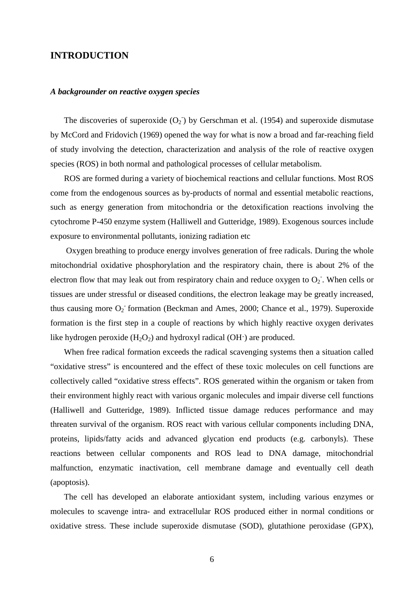## **INTRODUCTION**

#### *A backgrounder on reactive oxygen species*

The discoveries of superoxide  $(O_2)$  by Gerschman et al. (1954) and superoxide dismutase by McCord and Fridovich (1969) opened the way for what is now a broad and far-reaching field of study involving the detection, characterization and analysis of the role of reactive oxygen species (ROS) in both normal and pathological processes of cellular metabolism.

ROS are formed during a variety of biochemical reactions and cellular functions. Most ROS come from the endogenous sources as by-products of normal and essential metabolic reactions, such as energy generation from mitochondria or the detoxification reactions involving the cytochrome P-450 enzyme system (Halliwell and Gutteridge, 1989). Exogenous sources include exposure to environmental pollutants, ionizing radiation etc

 Oxygen breathing to produce energy involves generation of free radicals. During the whole mitochondrial oxidative phosphorylation and the respiratory chain, there is about 2% of the electron flow that may leak out from respiratory chain and reduce oxygen to  $O_2$ . When cells or tissues are under stressful or diseased conditions, the electron leakage may be greatly increased, thus causing more  $O_2$  formation (Beckman and Ames, 2000; Chance et al., 1979). Superoxide formation is the first step in a couple of reactions by which highly reactive oxygen derivates like hydrogen peroxide  $(H_2O_2)$  and hydroxyl radical  $(OH<sup>2</sup>)$  are produced.

When free radical formation exceeds the radical scavenging systems then a situation called "oxidative stress" is encountered and the effect of these toxic molecules on cell functions are collectively called "oxidative stress effects". ROS generated within the organism or taken from their environment highly react with various organic molecules and impair diverse cell functions (Halliwell and Gutteridge, 1989). Inflicted tissue damage reduces performance and may threaten survival of the organism. ROS react with various cellular components including DNA, proteins, lipids/fatty acids and advanced glycation end products (e.g. carbonyls). These reactions between cellular components and ROS lead to DNA damage, mitochondrial malfunction, enzymatic inactivation, cell membrane damage and eventually cell death (apoptosis).

The cell has developed an elaborate antioxidant system, including various enzymes or molecules to scavenge intra- and extracellular ROS produced either in normal conditions or oxidative stress. These include superoxide dismutase (SOD), glutathione peroxidase (GPX),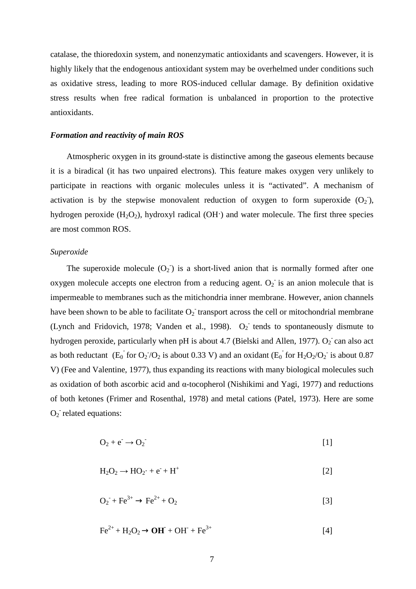catalase, the thioredoxin system, and nonenzymatic antioxidants and scavengers. However, it is highly likely that the endogenous antioxidant system may be overhelmed under conditions such as oxidative stress, leading to more ROS-induced cellular damage. By definition oxidative stress results when free radical formation is unbalanced in proportion to the protective antioxidants.

#### *Formation and reactivity of main ROS*

Atmospheric oxygen in its ground-state is distinctive among the gaseous elements because it is a biradical (it has two unpaired electrons). This feature makes oxygen very unlikely to participate in reactions with organic molecules unless it is "activated". A mechanism of activation is by the stepwise monovalent reduction of oxygen to form superoxide  $(O_2)$ , hydrogen peroxide  $(H_2O_2)$ , hydroxyl radical  $(OH<sub>1</sub>)$  and water molecule. The first three species are most common ROS.

#### *Superoxide*

The superoxide molecule  $(O_2)$  is a short-lived anion that is normally formed after one oxygen molecule accepts one electron from a reducing agent.  $O_2$  is an anion molecule that is impermeable to membranes such as the mitichondria inner membrane. However, anion channels have been shown to be able to facilitate  $O_2$  transport across the cell or mitochondrial membrane (Lynch and Fridovich, 1978; Vanden et al., 1998).  $O_2$  tends to spontaneously dismute to hydrogen peroxide, particularly when pH is about 4.7 (Bielski and Allen, 1977).  $O_2$  can also act as both reductant  $(E_0$  for  $O_2$  / $O_2$  is about 0.33 V) and an oxidant  $(E_0$  for  $H_2O_2/O_2$  is about 0.87 V) (Fee and Valentine, 1977), thus expanding its reactions with many biological molecules such as oxidation of both ascorbic acid and α-tocopherol (Nishikimi and Yagi, 1977) and reductions of both ketones (Frimer and Rosenthal, 1978) and metal cations (Patel, 1973). Here are some  $O_2$  related equations:

$$
O_2 + e^- \rightarrow O_2
$$
 [1]

$$
H_2O_2 \to HO_2 \cdot + e^- + H^+ \tag{2}
$$

$$
O_2 + Fe^{3+} \to Fe^{2+} + O_2
$$
 [3]

$$
\text{Fe}^{2+} + \text{H}_2\text{O}_2 \rightarrow \text{OH}^{\cdot} + \text{OH}^{\cdot} + \text{Fe}^{3+} \tag{4}
$$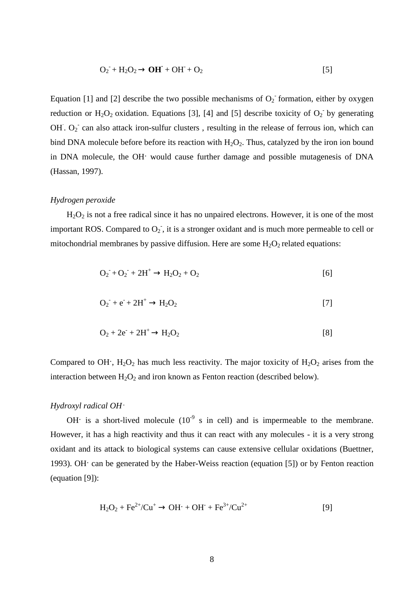$$
O_2 + H_2O_2 \rightarrow OH + OH + O_2 \tag{5}
$$

Equation [1] and [2] describe the two possible mechanisms of  $O_2$  formation, either by oxygen reduction or  $H_2O_2$  oxidation. Equations [3], [4] and [5] describe toxicity of  $O_2$  by generating OH.  $O_2$  can also attack iron-sulfur clusters, resulting in the release of ferrous ion, which can bind DNA molecule before before its reaction with  $H_2O_2$ . Thus, catalyzed by the iron ion bound in DNA molecule, the OH· would cause further damage and possible mutagenesis of DNA (Hassan, 1997).

#### *Hydrogen peroxide*

 $H<sub>2</sub>O<sub>2</sub>$  is not a free radical since it has no unpaired electrons. However, it is one of the most important ROS. Compared to  $O_2$ , it is a stronger oxidant and is much more permeable to cell or mitochondrial membranes by passive diffusion. Here are some  $H_2O_2$  related equations:

$$
O_2 + O_2 + 2H^+ \to H_2O_2 + O_2
$$
 [6]

$$
O_2 + e^{\cdot} + 2H^+ \rightarrow H_2O_2 \tag{7}
$$

$$
O_2 + 2e^- + 2H^+ \rightarrow H_2O_2 \tag{8}
$$

Compared to OH $\cdot$ , H<sub>2</sub>O<sub>2</sub> has much less reactivity. The major toxicity of H<sub>2</sub>O<sub>2</sub> arises from the interaction between  $H_2O_2$  and iron known as Fenton reaction (described below).

#### *Hydroxyl radical OH*·

OH $\cdot$  is a short-lived molecule (10<sup>-9</sup> s in cell) and is impermeable to the membrane. However, it has a high reactivity and thus it can react with any molecules - it is a very strong oxidant and its attack to biological systems can cause extensive cellular oxidations (Buettner, 1993). OH· can be generated by the Haber-Weiss reaction (equation [5]) or by Fenton reaction (equation [9]):

$$
H_2O_2 + Fe^{2+}/Cu^+ \rightarrow OH^{\cdot} + OH^{\cdot} + Fe^{3+}/Cu^{2+}
$$
 [9]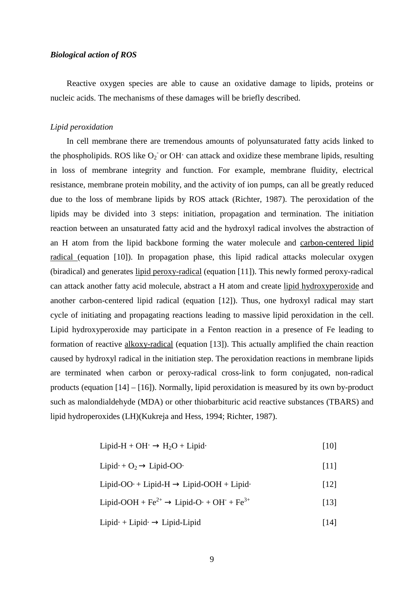## *Biological action of ROS*

Reactive oxygen species are able to cause an oxidative damage to lipids, proteins or nucleic acids. The mechanisms of these damages will be briefly described.

#### *Lipid peroxidation*

In cell membrane there are tremendous amounts of polyunsaturated fatty acids linked to the phospholipids. ROS like  $O_2$  or OH $\cdot$  can attack and oxidize these membrane lipids, resulting in loss of membrane integrity and function. For example, membrane fluidity, electrical resistance, membrane protein mobility, and the activity of ion pumps, can all be greatly reduced due to the loss of membrane lipids by ROS attack (Richter, 1987). The peroxidation of the lipids may be divided into 3 steps: initiation, propagation and termination. The initiation reaction between an unsaturated fatty acid and the hydroxyl radical involves the abstraction of an H atom from the lipid backbone forming the water molecule and carbon-centered lipid radical (equation [10]). In propagation phase, this lipid radical attacks molecular oxygen (biradical) and generates lipid peroxy-radical (equation [11]). This newly formed peroxy-radical can attack another fatty acid molecule, abstract a H atom and create lipid hydroxyperoxide and another carbon-centered lipid radical (equation [12]). Thus, one hydroxyl radical may start cycle of initiating and propagating reactions leading to massive lipid peroxidation in the cell. Lipid hydroxyperoxide may participate in a Fenton reaction in a presence of Fe leading to formation of reactive alkoxy-radical (equation [13]). This actually amplified the chain reaction caused by hydroxyl radical in the initiation step. The peroxidation reactions in membrane lipids are terminated when carbon or peroxy-radical cross-link to form conjugated, non-radical products (equation [14] – [16]). Normally, lipid peroxidation is measured by its own by-product such as malondialdehyde (MDA) or other thiobarbituric acid reactive substances (TBARS) and lipid hydroperoxides (LH)(Kukreja and Hess, 1994; Richter, 1987).

$$
Lipid-H + OH \rightarrow H_2O + Lipid \tag{10}
$$

Lipid $\cdot$  + O<sub>2</sub>  $\rightarrow$  Lipid-OO· [11]

$$
Lipid-OO \cdot + Lipid-H \rightarrow Lipid-OOH + Lipid \cdot \tag{12}
$$

Lipid-OOH +  $\text{Fe}^{2+} \rightarrow \text{Lipid-O·} + \text{OH}^{-} + \text{Fe}^{3+}$  [13]

Lipid $\cdot$  + Lipid $\cdot$   $\rightarrow$  Lipid-Lipid [14]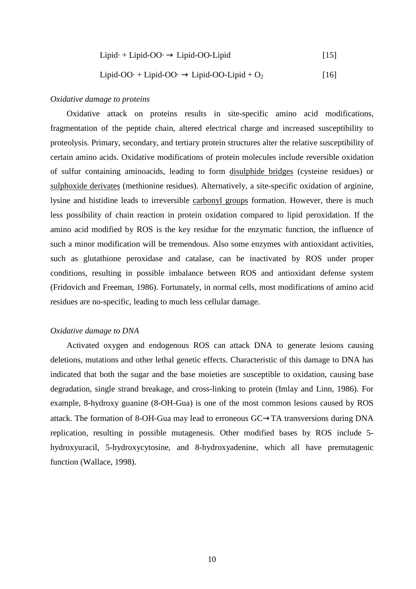$$
Lipid \cdot + Lipid-OO \cdot \rightarrow Lipid-OO-Lipid
$$
 [15]

## Lipid-OO· + Lipid-OO·  $\rightarrow$  Lipid-OO-Lipid + O<sub>2</sub> [16]

## *Oxidative damage to proteins*

Oxidative attack on proteins results in site-specific amino acid modifications, fragmentation of the peptide chain, altered electrical charge and increased susceptibility to proteolysis. Primary, secondary, and tertiary protein structures alter the relative susceptibility of certain amino acids. Oxidative modifications of protein molecules include reversible oxidation of sulfur containing aminoacids, leading to form disulphide bridges (cysteine residues) or sulphoxide derivates (methionine residues). Alternatively, a site-specific oxidation of arginine, lysine and histidine leads to irreversible carbonyl groups formation. However, there is much less possibility of chain reaction in protein oxidation compared to lipid peroxidation. If the amino acid modified by ROS is the key residue for the enzymatic function, the influence of such a minor modification will be tremendous. Also some enzymes with antioxidant activities, such as glutathione peroxidase and catalase, can be inactivated by ROS under proper conditions, resulting in possible imbalance between ROS and antioxidant defense system (Fridovich and Freeman, 1986). Fortunately, in normal cells, most modifications of amino acid residues are no-specific, leading to much less cellular damage.

#### *Oxidative damage to DNA*

Activated oxygen and endogenous ROS can attack DNA to generate lesions causing deletions, mutations and other lethal genetic effects. Characteristic of this damage to DNA has indicated that both the sugar and the base moieties are susceptible to oxidation, causing base degradation, single strand breakage, and cross-linking to protein (Imlay and Linn, 1986). For example, 8-hydroxy guanine (8-OH-Gua) is one of the most common lesions caused by ROS attack. The formation of 8-OH-Gua may lead to erroneous GC→TA transversions during DNA replication, resulting in possible mutagenesis. Other modified bases by ROS include 5 hydroxyuracil, 5-hydroxycytosine, and 8-hydroxyadenine, which all have premutagenic function (Wallace, 1998).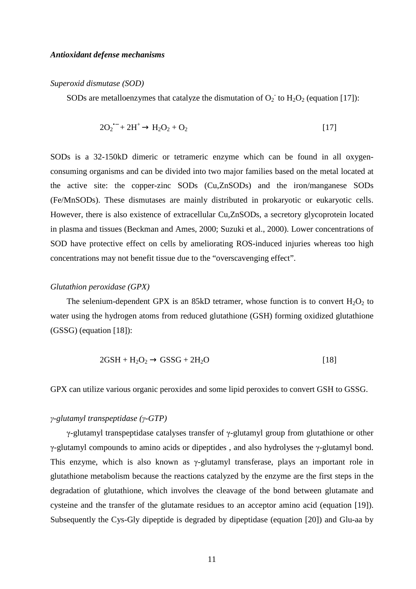#### *Antioxidant defense mechanisms*

#### *Superoxid dismutase (SOD)*

SODs are metalloenzymes that catalyze the dismutation of  $O_2$  to  $H_2O_2$  (equation [17]):

$$
2O_2^{\bullet -} + 2H^+ \rightarrow H_2O_2 + O_2 \tag{17}
$$

SODs is a 32-150kD dimeric or tetrameric enzyme which can be found in all oxygenconsuming organisms and can be divided into two major families based on the metal located at the active site: the copper-zinc SODs (Cu,ZnSODs) and the iron/manganese SODs (Fe/MnSODs). These dismutases are mainly distributed in prokaryotic or eukaryotic cells. However, there is also existence of extracellular Cu,ZnSODs, a secretory glycoprotein located in plasma and tissues (Beckman and Ames, 2000; Suzuki et al., 2000). Lower concentrations of SOD have protective effect on cells by ameliorating ROS-induced injuries whereas too high concentrations may not benefit tissue due to the "overscavenging effect".

#### *Glutathion peroxidase (GPX)*

The selenium-dependent GPX is an 85kD tetramer, whose function is to convert  $H_2O_2$  to water using the hydrogen atoms from reduced glutathione (GSH) forming oxidized glutathione (GSSG) (equation [18]):

$$
2GSH + H_2O_2 \rightarrow GSSG + 2H_2O \tag{18}
$$

GPX can utilize various organic peroxides and some lipid peroxides to convert GSH to GSSG.

#### γ*-glutamyl transpeptidase (*γ*-GTP)*

γ-glutamyl transpeptidase catalyses transfer of γ-glutamyl group from glutathione or other γ-glutamyl compounds to amino acids or dipeptides , and also hydrolyses the γ-glutamyl bond. This enzyme, which is also known as γ-glutamyl transferase, plays an important role in glutathione metabolism because the reactions catalyzed by the enzyme are the first steps in the degradation of glutathione, which involves the cleavage of the bond between glutamate and cysteine and the transfer of the glutamate residues to an acceptor amino acid (equation [19]). Subsequently the Cys-Gly dipeptide is degraded by dipeptidase (equation [20]) and Glu-aa by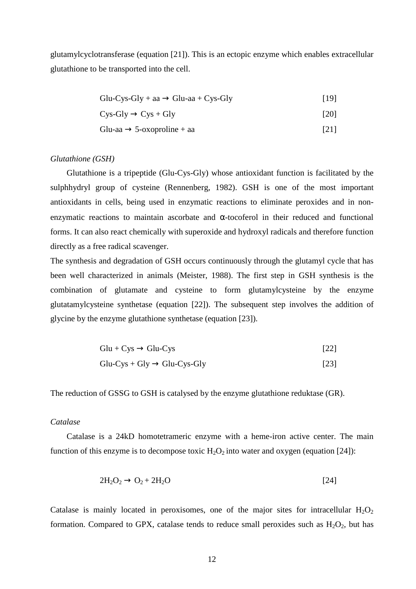glutamylcyclotransferase (equation [21]). This is an ectopic enzyme which enables extracellular glutathione to be transported into the cell.

$$
Glu-Cys-Gly + aa \rightarrow Glu-aa + Cys-Gly
$$
 [19]

$$
Cys-Gly \to Cys + Gly
$$
 [20]

$$
Glu-aa \to 5\text{-oxoproline} + aa
$$
 [21]

#### *Glutathione (GSH)*

Glutathione is a tripeptide (Glu-Cys-Gly) whose antioxidant function is facilitated by the sulphhydryl group of cysteine (Rennenberg, 1982). GSH is one of the most important antioxidants in cells, being used in enzymatic reactions to eliminate peroxides and in nonenzymatic reactions to maintain ascorbate and α-tocoferol in their reduced and functional forms. It can also react chemically with superoxide and hydroxyl radicals and therefore function directly as a free radical scavenger.

The synthesis and degradation of GSH occurs continuously through the glutamyl cycle that has been well characterized in animals (Meister, 1988). The first step in GSH synthesis is the combination of glutamate and cysteine to form glutamylcysteine by the enzyme glutatamylcysteine synthetase (equation [22]). The subsequent step involves the addition of glycine by the enzyme glutathione synthetase (equation [23]).

$$
Glu + Cys \rightarrow Glu-Cys
$$
 [22]

$$
Glu-Cys + Gly \rightarrow Glu-Cys-Gly
$$
 [23]

The reduction of GSSG to GSH is catalysed by the enzyme glutathione reduktase (GR).

#### *Catalase*

Catalase is a 24kD homotetrameric enzyme with a heme-iron active center. The main function of this enzyme is to decompose toxic  $H_2O_2$  into water and oxygen (equation [24]):

$$
2H_2O_2 \rightarrow O_2 + 2H_2O \tag{24}
$$

Catalase is mainly located in peroxisomes, one of the major sites for intracellular  $H_2O_2$ formation. Compared to GPX, catalase tends to reduce small peroxides such as  $H_2O_2$ , but has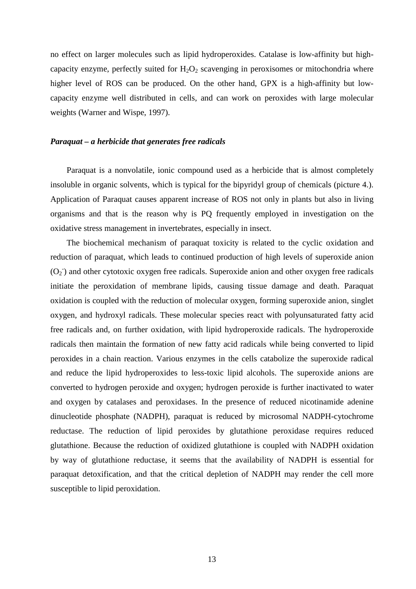no effect on larger molecules such as lipid hydroperoxides. Catalase is low-affinity but highcapacity enzyme, perfectly suited for  $H_2O_2$  scavenging in peroxisomes or mitochondria where higher level of ROS can be produced. On the other hand, GPX is a high-affinity but lowcapacity enzyme well distributed in cells, and can work on peroxides with large molecular weights (Warner and Wispe, 1997).

#### *Paraquat – a herbicide that generates free radicals*

Paraquat is a nonvolatile, ionic compound used as a herbicide that is almost completely insoluble in organic solvents, which is typical for the bipyridyl group of chemicals (picture 4.). Application of Paraquat causes apparent increase of ROS not only in plants but also in living organisms and that is the reason why is PQ frequently employed in investigation on the oxidative stress management in invertebrates, especially in insect.

The biochemical mechanism of paraquat toxicity is related to the cyclic oxidation and reduction of paraquat, which leads to continued production of high levels of superoxide anion  $(O_2)$  and other cytotoxic oxygen free radicals. Superoxide anion and other oxygen free radicals initiate the peroxidation of membrane lipids, causing tissue damage and death. Paraquat oxidation is coupled with the reduction of molecular oxygen, forming superoxide anion, singlet oxygen, and hydroxyl radicals. These molecular species react with polyunsaturated fatty acid free radicals and, on further oxidation, with lipid hydroperoxide radicals. The hydroperoxide radicals then maintain the formation of new fatty acid radicals while being converted to lipid peroxides in a chain reaction. Various enzymes in the cells catabolize the superoxide radical and reduce the lipid hydroperoxides to less-toxic lipid alcohols. The superoxide anions are converted to hydrogen peroxide and oxygen; hydrogen peroxide is further inactivated to water and oxygen by catalases and peroxidases. In the presence of reduced nicotinamide adenine dinucleotide phosphate (NADPH), paraquat is reduced by microsomal NADPH-cytochrome reductase. The reduction of lipid peroxides by glutathione peroxidase requires reduced glutathione. Because the reduction of oxidized glutathione is coupled with NADPH oxidation by way of glutathione reductase, it seems that the availability of NADPH is essential for paraquat detoxification, and that the critical depletion of NADPH may render the cell more susceptible to lipid peroxidation.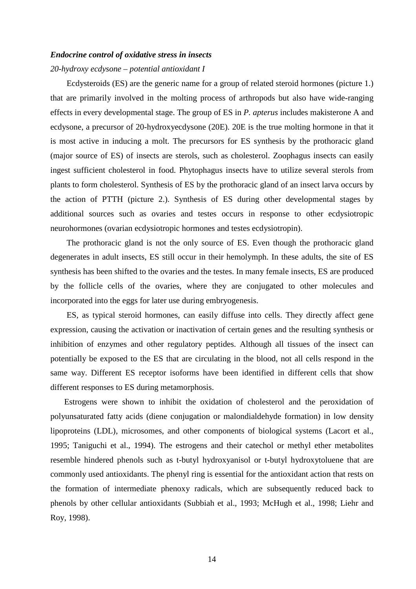#### *Endocrine control of oxidative stress in insects*

#### *20-hydroxy ecdysone – potential antioxidant I*

Ecdysteroids (ES) are the generic name for a group of related steroid hormones (picture 1.) that are primarily involved in the molting process of arthropods but also have wide-ranging effects in every developmental stage. The group of ES in *P. apterus* includes makisterone A and ecdysone, a precursor of 20-hydroxyecdysone (20E). 20E is the true molting hormone in that it is most active in inducing a molt. The precursors for ES synthesis by the prothoracic gland (major source of ES) of insects are sterols, such as cholesterol. Zoophagus insects can easily ingest sufficient cholesterol in food. Phytophagus insects have to utilize several sterols from plants to form cholesterol. Synthesis of ES by the prothoracic gland of an insect larva occurs by the action of PTTH (picture 2.). Synthesis of ES during other developmental stages by additional sources such as ovaries and testes occurs in response to other ecdysiotropic neurohormones (ovarian ecdysiotropic hormones and testes ecdysiotropin).

The prothoracic gland is not the only source of ES. Even though the prothoracic gland degenerates in adult insects, ES still occur in their hemolymph. In these adults, the site of ES synthesis has been shifted to the ovaries and the testes. In many female insects, ES are produced by the follicle cells of the ovaries, where they are conjugated to other molecules and incorporated into the eggs for later use during embryogenesis.

ES, as typical steroid hormones, can easily diffuse into cells. They directly affect gene expression, causing the activation or inactivation of certain genes and the resulting synthesis or inhibition of enzymes and other regulatory peptides. Although all tissues of the insect can potentially be exposed to the ES that are circulating in the blood, not all cells respond in the same way. Different ES receptor isoforms have been identified in different cells that show different responses to ES during metamorphosis.

Estrogens were shown to inhibit the oxidation of cholesterol and the peroxidation of polyunsaturated fatty acids (diene conjugation or malondialdehyde formation) in low density lipoproteins (LDL), microsomes, and other components of biological systems (Lacort et al., 1995; Taniguchi et al., 1994). The estrogens and their catechol or methyl ether metabolites resemble hindered phenols such as t-butyl hydroxyanisol or t-butyl hydroxytoluene that are commonly used antioxidants. The phenyl ring is essential for the antioxidant action that rests on the formation of intermediate phenoxy radicals, which are subsequently reduced back to phenols by other cellular antioxidants (Subbiah et al., 1993; McHugh et al., 1998; Liehr and Roy, 1998).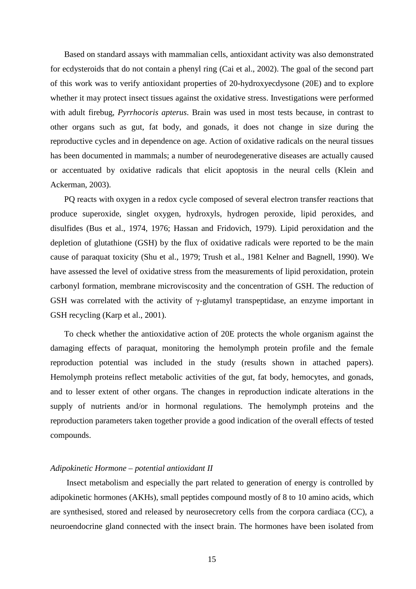Based on standard assays with mammalian cells, antioxidant activity was also demonstrated for ecdysteroids that do not contain a phenyl ring (Cai et al., 2002). The goal of the second part of this work was to verify antioxidant properties of 20-hydroxyecdysone (20E) and to explore whether it may protect insect tissues against the oxidative stress. Investigations were performed with adult firebug, *Pyrrhocoris apterus*. Brain was used in most tests because, in contrast to other organs such as gut, fat body, and gonads, it does not change in size during the reproductive cycles and in dependence on age. Action of oxidative radicals on the neural tissues has been documented in mammals; a number of neurodegenerative diseases are actually caused or accentuated by oxidative radicals that elicit apoptosis in the neural cells (Klein and Ackerman, 2003).

PQ reacts with oxygen in a redox cycle composed of several electron transfer reactions that produce superoxide, singlet oxygen, hydroxyls, hydrogen peroxide, lipid peroxides, and disulfides (Bus et al., 1974, 1976; Hassan and Fridovich, 1979). Lipid peroxidation and the depletion of glutathione (GSH) by the flux of oxidative radicals were reported to be the main cause of paraquat toxicity (Shu et al., 1979; Trush et al., 1981 Kelner and Bagnell, 1990). We have assessed the level of oxidative stress from the measurements of lipid peroxidation, protein carbonyl formation, membrane microviscosity and the concentration of GSH. The reduction of GSH was correlated with the activity of γ-glutamyl transpeptidase, an enzyme important in GSH recycling (Karp et al., 2001).

To check whether the antioxidative action of 20E protects the whole organism against the damaging effects of paraquat, monitoring the hemolymph protein profile and the female reproduction potential was included in the study (results shown in attached papers). Hemolymph proteins reflect metabolic activities of the gut, fat body, hemocytes, and gonads, and to lesser extent of other organs. The changes in reproduction indicate alterations in the supply of nutrients and/or in hormonal regulations. The hemolymph proteins and the reproduction parameters taken together provide a good indication of the overall effects of tested compounds.

#### *Adipokinetic Hormone – potential antioxidant II*

Insect metabolism and especially the part related to generation of energy is controlled by adipokinetic hormones (AKHs), small peptides compound mostly of 8 to 10 amino acids, which are synthesised, stored and released by neurosecretory cells from the corpora cardiaca (CC), a neuroendocrine gland connected with the insect brain. The hormones have been isolated from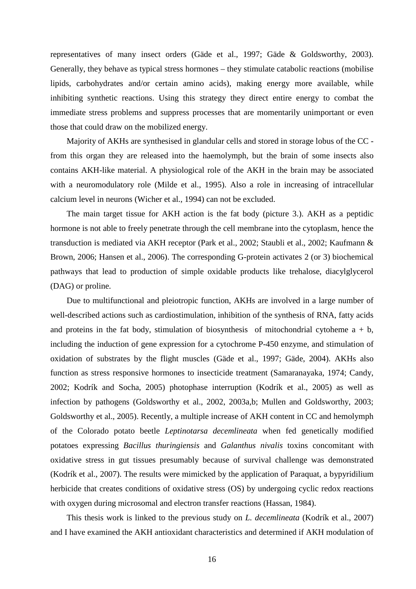representatives of many insect orders (Gäde et al., 1997; Gäde & Goldsworthy, 2003). Generally, they behave as typical stress hormones – they stimulate catabolic reactions (mobilise lipids, carbohydrates and/or certain amino acids), making energy more available, while inhibiting synthetic reactions. Using this strategy they direct entire energy to combat the immediate stress problems and suppress processes that are momentarily unimportant or even those that could draw on the mobilized energy.

Majority of AKHs are synthesised in glandular cells and stored in storage lobus of the CC from this organ they are released into the haemolymph, but the brain of some insects also contains AKH-like material. A physiological role of the AKH in the brain may be associated with a neuromodulatory role (Milde et al., 1995). Also a role in increasing of intracellular calcium level in neurons (Wicher et al., 1994) can not be excluded.

The main target tissue for AKH action is the fat body (picture 3.). AKH as a peptidic hormone is not able to freely penetrate through the cell membrane into the cytoplasm, hence the transduction is mediated via AKH receptor (Park et al., 2002; Staubli et al., 2002; Kaufmann & Brown, 2006; Hansen et al., 2006). The corresponding G-protein activates 2 (or 3) biochemical pathways that lead to production of simple oxidable products like trehalose, diacylglycerol (DAG) or proline.

Due to multifunctional and pleiotropic function, AKHs are involved in a large number of well-described actions such as cardiostimulation, inhibition of the synthesis of RNA, fatty acids and proteins in the fat body, stimulation of biosynthesis of mitochondrial cytoheme  $a + b$ , including the induction of gene expression for a cytochrome P-450 enzyme, and stimulation of oxidation of substrates by the flight muscles (Gäde et al., 1997; Gäde, 2004). AKHs also function as stress responsive hormones to insecticide treatment (Samaranayaka, 1974; Candy, 2002; Kodrík and Socha, 2005) photophase interruption (Kodrík et al., 2005) as well as infection by pathogens (Goldsworthy et al., 2002, 2003a,b; Mullen and Goldsworthy, 2003; Goldsworthy et al., 2005). Recently, a multiple increase of AKH content in CC and hemolymph of the Colorado potato beetle *Leptinotarsa decemlineata* when fed genetically modified potatoes expressing *Bacillus thuringiensis* and *Galanthus nivalis* toxins concomitant with oxidative stress in gut tissues presumably because of survival challenge was demonstrated (Kodrík et al., 2007). The results were mimicked by the application of Paraquat, a bypyridilium herbicide that creates conditions of oxidative stress (OS) by undergoing cyclic redox reactions with oxygen during microsomal and electron transfer reactions (Hassan, 1984).

This thesis work is linked to the previous study on *L. decemlineata* (Kodrík et al., 2007) and I have examined the AKH antioxidant characteristics and determined if AKH modulation of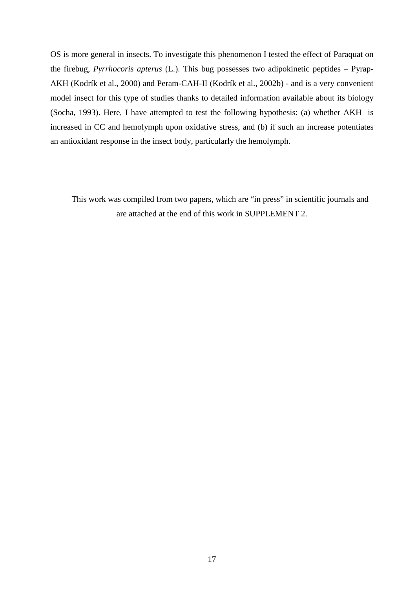OS is more general in insects. To investigate this phenomenon I tested the effect of Paraquat on the firebug, *Pyrrhocoris apterus* (L.). This bug possesses two adipokinetic peptides – Pyrap-AKH (Kodrík et al., 2000) and Peram-CAH-II (Kodrík et al., 2002b) - and is a very convenient model insect for this type of studies thanks to detailed information available about its biology (Socha, 1993). Here, I have attempted to test the following hypothesis: (a) whether AKH is increased in CC and hemolymph upon oxidative stress, and (b) if such an increase potentiates an antioxidant response in the insect body, particularly the hemolymph.

This work was compiled from two papers, which are "in press" in scientific journals and are attached at the end of this work in SUPPLEMENT 2.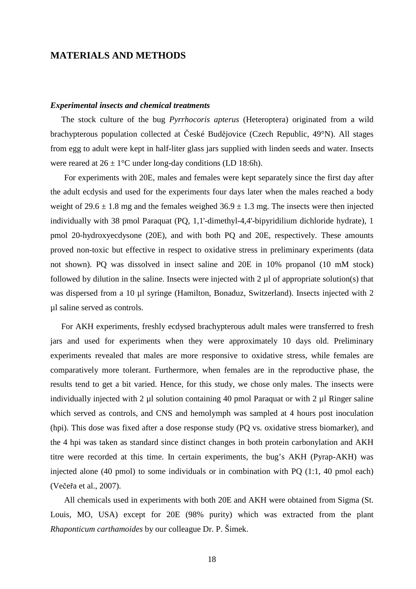## **MATERIALS AND METHODS**

#### *Experimental insects and chemical treatments*

 The stock culture of the bug *Pyrrhocoris apterus* (Heteroptera) originated from a wild brachypterous population collected at České Budějovice (Czech Republic, 49°N). All stages from egg to adult were kept in half-liter glass jars supplied with linden seeds and water. Insects were reared at  $26 \pm 1$ °C under long-day conditions (LD 18:6h).

For experiments with 20E, males and females were kept separately since the first day after the adult ecdysis and used for the experiments four days later when the males reached a body weight of  $29.6 \pm 1.8$  mg and the females weighed  $36.9 \pm 1.3$  mg. The insects were then injected individually with 38 pmol Paraquat (PQ, 1,1'-dimethyl-4,4'-bipyridilium dichloride hydrate), 1 pmol 20-hydroxyecdysone (20E), and with both PQ and 20E, respectively. These amounts proved non-toxic but effective in respect to oxidative stress in preliminary experiments (data not shown). PQ was dissolved in insect saline and 20E in 10% propanol (10 mM stock) followed by dilution in the saline. Insects were injected with  $2 \mu$  of appropriate solution(s) that was dispersed from a 10 µl syringe (Hamilton, Bonaduz, Switzerland). Insects injected with 2 µl saline served as controls.

 For AKH experiments, freshly ecdysed brachypterous adult males were transferred to fresh jars and used for experiments when they were approximately 10 days old. Preliminary experiments revealed that males are more responsive to oxidative stress, while females are comparatively more tolerant. Furthermore, when females are in the reproductive phase, the results tend to get a bit varied. Hence, for this study, we chose only males. The insects were individually injected with 2  $\mu$ l solution containing 40 pmol Paraquat or with 2  $\mu$ l Ringer saline which served as controls, and CNS and hemolymph was sampled at 4 hours post inoculation (hpi). This dose was fixed after a dose response study (PQ vs. oxidative stress biomarker), and the 4 hpi was taken as standard since distinct changes in both protein carbonylation and AKH titre were recorded at this time. In certain experiments, the bug's AKH (Pyrap-AKH) was injected alone (40 pmol) to some individuals or in combination with PQ (1:1, 40 pmol each) (Večeřa et al., 2007).

All chemicals used in experiments with both 20E and AKH were obtained from Sigma (St. Louis, MO, USA) except for 20E (98% purity) which was extracted from the plant *Rhaponticum carthamoides* by our colleague Dr. P. Šimek.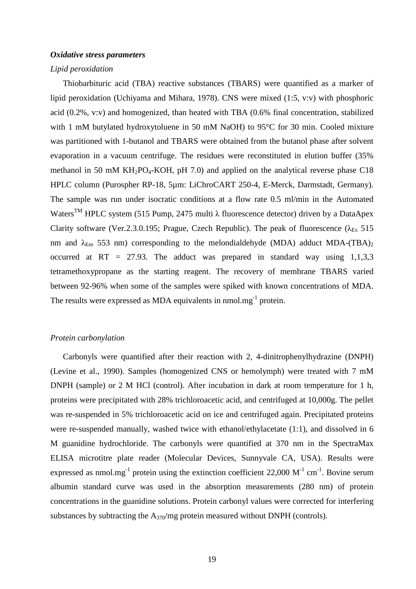## *Oxidative stress parameters*

#### *Lipid peroxidation*

Thiobarbituric acid (TBA) reactive substances (TBARS) were quantified as a marker of lipid peroxidation (Uchiyama and Mihara, 1978). CNS were mixed (1:5, v:v) with phosphoric acid (0.2%, v:v) and homogenized, than heated with TBA (0.6% final concentration, stabilized with 1 mM butylated hydroxytoluene in 50 mM NaOH) to 95°C for 30 min. Cooled mixture was partitioned with 1-butanol and TBARS were obtained from the butanol phase after solvent evaporation in a vacuum centrifuge. The residues were reconstituted in elution buffer (35% methanol in 50 mM  $KH_2PO_4$ -KOH, pH 7.0) and applied on the analytical reverse phase C18 HPLC column (Purospher RP-18, 5µm: LiChroCART 250-4, E-Merck, Darmstadt, Germany). The sample was run under isocratic conditions at a flow rate 0.5 ml/min in the Automated Waters<sup>TM</sup> HPLC system (515 Pump, 2475 multi λ fluorescence detector) driven by a DataApex Clarity software (Ver.2.3.0.195; Prague, Czech Republic). The peak of fluorescence ( $\lambda_{Ex}$  515 nm and  $\lambda_{Em}$  553 nm) corresponding to the melondialdehyde (MDA) adduct MDA-(TBA)<sub>2</sub> occurred at RT = 27.93. The adduct was prepared in standard way using  $1,1,3,3$ tetramethoxypropane as the starting reagent. The recovery of membrane TBARS varied between 92-96% when some of the samples were spiked with known concentrations of MDA. The results were expressed as MDA equivalents in  $n_{\text{mol}}$  mmol.mg<sup>-1</sup> protein.

#### *Protein carbonylation*

Carbonyls were quantified after their reaction with 2, 4-dinitrophenylhydrazine (DNPH) (Levine et al., 1990). Samples (homogenized CNS or hemolymph) were treated with 7 mM DNPH (sample) or 2 M HCl (control). After incubation in dark at room temperature for 1 h, proteins were precipitated with 28% trichloroacetic acid, and centrifuged at 10,000g. The pellet was re-suspended in 5% trichloroacetic acid on ice and centrifuged again. Precipitated proteins were re-suspended manually, washed twice with ethanol/ethylacetate (1:1), and dissolved in 6 M guanidine hydrochloride. The carbonyls were quantified at 370 nm in the SpectraMax ELISA microtitre plate reader (Molecular Devices, Sunnyvale CA, USA). Results were expressed as nmol.mg<sup>-1</sup> protein using the extinction coefficient 22,000  $M^{-1}$  cm<sup>-1</sup>. Bovine serum albumin standard curve was used in the absorption measurements (280 nm) of protein concentrations in the guanidine solutions. Protein carbonyl values were corrected for interfering substances by subtracting the  $A_{370}/mg$  protein measured without DNPH (controls).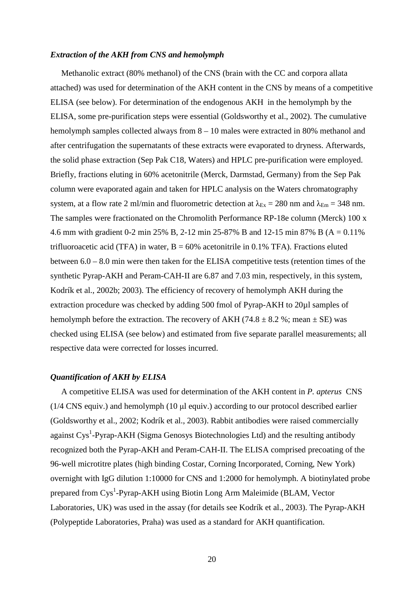#### *Extraction of the AKH from CNS and hemolymph*

Methanolic extract (80% methanol) of the CNS (brain with the CC and corpora allata attached) was used for determination of the AKH content in the CNS by means of a competitive ELISA (see below). For determination of the endogenous AKH in the hemolymph by the ELISA, some pre-purification steps were essential (Goldsworthy et al., 2002). The cumulative hemolymph samples collected always from  $8 - 10$  males were extracted in 80% methanol and after centrifugation the supernatants of these extracts were evaporated to dryness. Afterwards, the solid phase extraction (Sep Pak C18, Waters) and HPLC pre-purification were employed. Briefly, fractions eluting in 60% acetonitrile (Merck, Darmstad, Germany) from the Sep Pak column were evaporated again and taken for HPLC analysis on the Waters chromatography system, at a flow rate 2 ml/min and fluorometric detection at  $\lambda_{Ex} = 280$  nm and  $\lambda_{Em} = 348$  nm. The samples were fractionated on the Chromolith Performance RP-18e column (Merck) 100 x 4.6 mm with gradient 0-2 min 25% B, 2-12 min 25-87% B and 12-15 min 87% B (A = 0.11% trifluoroacetic acid (TFA) in water,  $B = 60\%$  acetonitrile in 0.1% TFA). Fractions eluted between 6.0 – 8.0 min were then taken for the ELISA competitive tests (retention times of the synthetic Pyrap-AKH and Peram-CAH-II are 6.87 and 7.03 min, respectively, in this system, Kodrík et al., 2002b; 2003). The efficiency of recovery of hemolymph AKH during the extraction procedure was checked by adding 500 fmol of Pyrap-AKH to 20µl samples of hemolymph before the extraction. The recovery of AKH (74.8  $\pm$  8.2 %; mean  $\pm$  SE) was checked using ELISA (see below) and estimated from five separate parallel measurements; all respective data were corrected for losses incurred.

#### *Quantification of AKH by ELISA*

A competitive ELISA was used for determination of the AKH content in *P. apterus* CNS (1/4 CNS equiv.) and hemolymph (10 µl equiv.) according to our protocol described earlier (Goldsworthy et al., 2002; Kodrík et al., 2003). Rabbit antibodies were raised commercially against Cys<sup>1</sup>-Pyrap-AKH (Sigma Genosys Biotechnologies Ltd) and the resulting antibody recognized both the Pyrap-AKH and Peram-CAH-II. The ELISA comprised precoating of the 96-well microtitre plates (high binding Costar, Corning Incorporated, Corning, New York) overnight with IgG dilution 1:10000 for CNS and 1:2000 for hemolymph. A biotinylated probe prepared from Cys<sup>1</sup>-Pyrap-AKH using Biotin Long Arm Maleimide (BLAM, Vector Laboratories, UK) was used in the assay (for details see Kodrík et al., 2003). The Pyrap-AKH (Polypeptide Laboratories, Praha) was used as a standard for AKH quantification.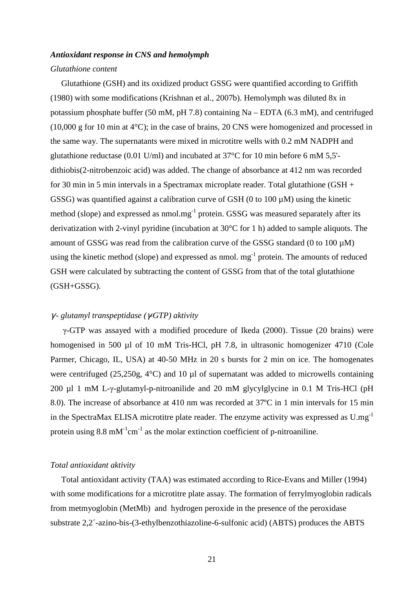#### *Antioxidant response in CNS and hemolymph*

#### *Glutathione content*

 Glutathione (GSH) and its oxidized product GSSG were quantified according to Griffith (1980) with some modifications (Krishnan et al., 2007b). Hemolymph was diluted 8x in potassium phosphate buffer (50 mM, pH 7.8) containing Na – EDTA (6.3 mM), and centrifuged (10,000 g for 10 min at 4°C); in the case of brains, 20 CNS were homogenized and processed in the same way. The supernatants were mixed in microtitre wells with 0.2 mM NADPH and glutathione reductase (0.01 U/ml) and incubated at 37°C for 10 min before 6 mM 5,5' dithiobis(2-nitrobenzoic acid) was added. The change of absorbance at 412 nm was recorded for 30 min in 5 min intervals in a Spectramax microplate reader. Total glutathione (GSH + GSSG) was quantified against a calibration curve of GSH (0 to 100  $\mu$ M) using the kinetic method (slope) and expressed as nmol.mg<sup>-1</sup> protein. GSSG was measured separately after its derivatization with 2-vinyl pyridine (incubation at 30°C for 1 h) added to sample aliquots. The amount of GSSG was read from the calibration curve of the GSSG standard (0 to 100  $\mu$ M) using the kinetic method (slope) and expressed as nmol.  $mg^{-1}$  protein. The amounts of reduced GSH were calculated by subtracting the content of GSSG from that of the total glutathione (GSH+GSSG).

#### γ *- glutamyl transpeptidase (*γ*-GTP) aktivity*

γ-GTP was assayed with a modified procedure of Ikeda (2000). Tissue (20 brains) were homogenised in 500 µl of 10 mM Tris-HCl, pH 7.8, in ultrasonic homogenizer 4710 (Cole Parmer, Chicago, IL, USA) at 40-50 MHz in 20 s bursts for 2 min on ice. The homogenates were centrifuged (25,250g, 4°C) and 10 µl of supernatant was added to microwells containing 200 µl 1 mM L-γ-glutamyl-p-nitroanilide and 20 mM glycylglycine in 0.1 M Tris-HCl (pH 8.0). The increase of absorbance at 410 nm was recorded at 37ºC in 1 min intervals for 15 min in the SpectraMax ELISA microtitre plate reader. The enzyme activity was expressed as  $U.mg^{-1}$ protein using 8.8 mM<sup>-1</sup>cm<sup>-1</sup> as the molar extinction coefficient of p-nitroaniline.

#### *Total antioxidant aktivity*

 Total antioxidant activity (TAA) was estimated according to Rice-Evans and Miller (1994) with some modifications for a microtitre plate assay. The formation of ferrylmyoglobin radicals from metmyoglobin (MetMb) and hydrogen peroxide in the presence of the peroxidase substrate 2,2´-azino-bis-(3-ethylbenzothiazoline-6-sulfonic acid) (ABTS) produces the ABTS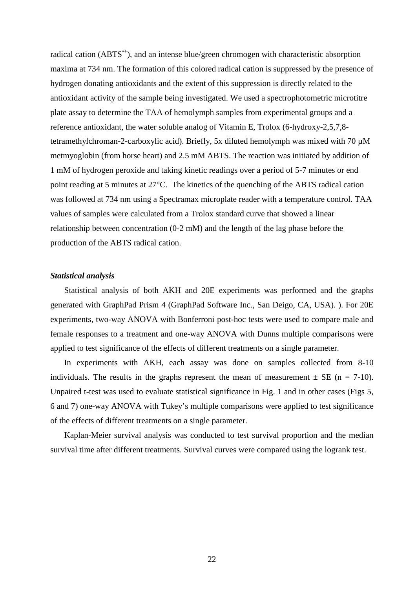radical cation (ABTS<sup>\*+</sup>), and an intense blue/green chromogen with characteristic absorption maxima at 734 nm. The formation of this colored radical cation is suppressed by the presence of hydrogen donating antioxidants and the extent of this suppression is directly related to the antioxidant activity of the sample being investigated. We used a spectrophotometric microtitre plate assay to determine the TAA of hemolymph samples from experimental groups and a reference antioxidant, the water soluble analog of Vitamin E, Trolox (6-hydroxy-2,5,7,8 tetramethylchroman-2-carboxylic acid). Briefly, 5x diluted hemolymph was mixed with 70 µM metmyoglobin (from horse heart) and 2.5 mM ABTS. The reaction was initiated by addition of 1 mM of hydrogen peroxide and taking kinetic readings over a period of 5-7 minutes or end point reading at 5 minutes at 27°C. The kinetics of the quenching of the ABTS radical cation was followed at 734 nm using a Spectramax microplate reader with a temperature control. TAA values of samples were calculated from a Trolox standard curve that showed a linear relationship between concentration (0-2 mM) and the length of the lag phase before the production of the ABTS radical cation.

#### *Statistical analysis*

Statistical analysis of both AKH and 20E experiments was performed and the graphs generated with GraphPad Prism 4 (GraphPad Software Inc., San Deigo, CA, USA). ). For 20E experiments, two-way ANOVA with Bonferroni post-hoc tests were used to compare male and female responses to a treatment and one-way ANOVA with Dunns multiple comparisons were applied to test significance of the effects of different treatments on a single parameter.

In experiments with AKH, each assay was done on samples collected from 8-10 individuals. The results in the graphs represent the mean of measurement  $\pm$  SE (n = 7-10). Unpaired t-test was used to evaluate statistical significance in Fig. 1 and in other cases (Figs 5, 6 and 7) one-way ANOVA with Tukey's multiple comparisons were applied to test significance of the effects of different treatments on a single parameter.

Kaplan-Meier survival analysis was conducted to test survival proportion and the median survival time after different treatments. Survival curves were compared using the logrank test.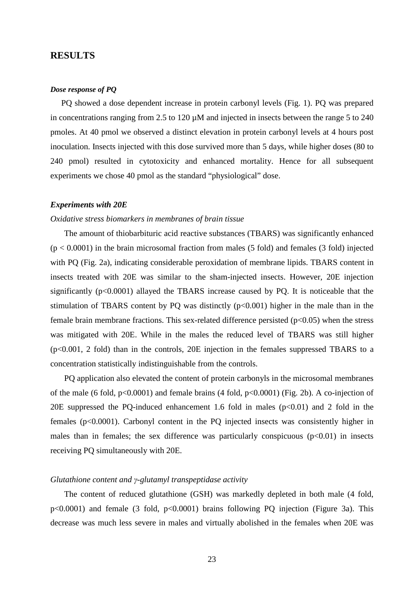## **RESULTS**

## *Dose response of PQ*

 PQ showed a dose dependent increase in protein carbonyl levels (Fig. 1). PQ was prepared in concentrations ranging from 2.5 to 120  $\mu$ M and injected in insects between the range 5 to 240 pmoles. At 40 pmol we observed a distinct elevation in protein carbonyl levels at 4 hours post inoculation. Insects injected with this dose survived more than 5 days, while higher doses (80 to 240 pmol) resulted in cytotoxicity and enhanced mortality. Hence for all subsequent experiments we chose 40 pmol as the standard "physiological" dose.

#### *Experiments with 20E*

#### *Oxidative stress biomarkers in membranes of brain tissue*

The amount of thiobarbituric acid reactive substances (TBARS) was significantly enhanced  $(p < 0.0001)$  in the brain microsomal fraction from males (5 fold) and females (3 fold) injected with PQ (Fig. 2a), indicating considerable peroxidation of membrane lipids. TBARS content in insects treated with 20E was similar to the sham-injected insects. However, 20E injection significantly (p<0.0001) allayed the TBARS increase caused by PQ. It is noticeable that the stimulation of TBARS content by PQ was distinctly  $(p<0.001)$  higher in the male than in the female brain membrane fractions. This sex-related difference persisted  $(p<0.05)$  when the stress was mitigated with 20E. While in the males the reduced level of TBARS was still higher (p<0.001, 2 fold) than in the controls, 20E injection in the females suppressed TBARS to a concentration statistically indistinguishable from the controls.

PQ application also elevated the content of protein carbonyls in the microsomal membranes of the male (6 fold,  $p<0.0001$ ) and female brains (4 fold,  $p<0.0001$ ) (Fig. 2b). A co-injection of 20E suppressed the PQ-induced enhancement 1.6 fold in males  $(p<0.01)$  and 2 fold in the females (p<0.0001). Carbonyl content in the PQ injected insects was consistently higher in males than in females; the sex difference was particularly conspicuous  $(p<0.01)$  in insects receiving PQ simultaneously with 20E.

## *Glutathione content and* γ*-glutamyl transpeptidase activity*

The content of reduced glutathione (GSH) was markedly depleted in both male (4 fold, p<0.0001) and female (3 fold, p<0.0001) brains following PQ injection (Figure 3a). This decrease was much less severe in males and virtually abolished in the females when 20E was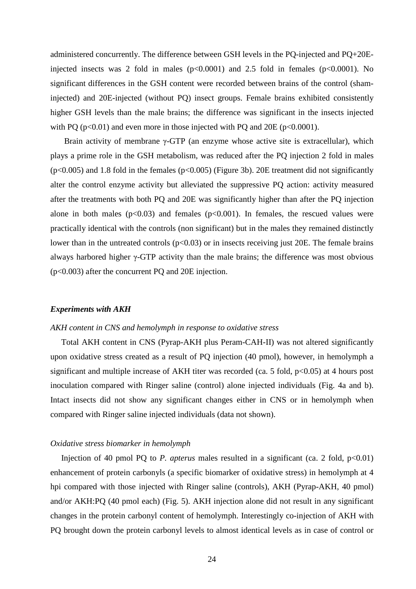administered concurrently. The difference between GSH levels in the PQ-injected and PQ+20Einjected insects was 2 fold in males  $(p<0.0001)$  and 2.5 fold in females  $(p<0.0001)$ . No significant differences in the GSH content were recorded between brains of the control (shaminjected) and 20E-injected (without PQ) insect groups. Female brains exhibited consistently higher GSH levels than the male brains; the difference was significant in the insects injected with PQ ( $p<0.01$ ) and even more in those injected with PQ and 20E ( $p<0.0001$ ).

Brain activity of membrane  $\gamma$ -GTP (an enzyme whose active site is extracellular), which plays a prime role in the GSH metabolism, was reduced after the PQ injection 2 fold in males  $(p<0.005)$  and 1.8 fold in the females  $(p<0.005)$  (Figure 3b). 20E treatment did not significantly alter the control enzyme activity but alleviated the suppressive PQ action: activity measured after the treatments with both PQ and 20E was significantly higher than after the PQ injection alone in both males  $(p<0.03)$  and females  $(p<0.001)$ . In females, the rescued values were practically identical with the controls (non significant) but in the males they remained distinctly lower than in the untreated controls  $(p<0.03)$  or in insects receiving just 20E. The female brains always harbored higher γ-GTP activity than the male brains; the difference was most obvious (p<0.003) after the concurrent PQ and 20E injection.

#### *Experiments with AKH*

#### *AKH content in CNS and hemolymph in response to oxidative stress*

 Total AKH content in CNS (Pyrap-AKH plus Peram-CAH-II) was not altered significantly upon oxidative stress created as a result of PQ injection (40 pmol), however, in hemolymph a significant and multiple increase of AKH titer was recorded (ca. 5 fold,  $p<0.05$ ) at 4 hours post inoculation compared with Ringer saline (control) alone injected individuals (Fig. 4a and b). Intact insects did not show any significant changes either in CNS or in hemolymph when compared with Ringer saline injected individuals (data not shown).

#### *Oxidative stress biomarker in hemolymph*

Injection of 40 pmol PQ to *P. apterus* males resulted in a significant (ca. 2 fold,  $p<0.01$ ) enhancement of protein carbonyls (a specific biomarker of oxidative stress) in hemolymph at 4 hpi compared with those injected with Ringer saline (controls), AKH (Pyrap-AKH, 40 pmol) and/or AKH:PQ (40 pmol each) (Fig. 5). AKH injection alone did not result in any significant changes in the protein carbonyl content of hemolymph. Interestingly co-injection of AKH with PQ brought down the protein carbonyl levels to almost identical levels as in case of control or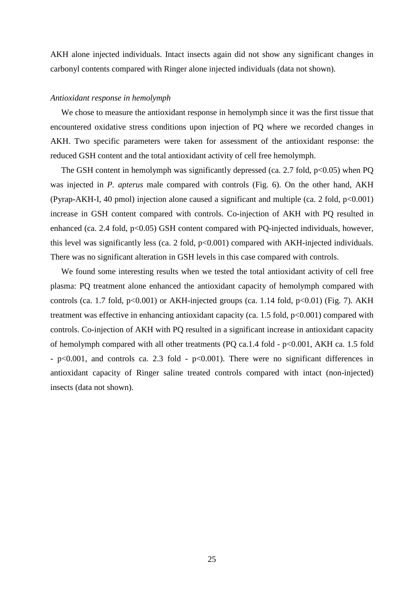AKH alone injected individuals. Intact insects again did not show any significant changes in carbonyl contents compared with Ringer alone injected individuals (data not shown).

#### *Antioxidant response in hemolymph*

 We chose to measure the antioxidant response in hemolymph since it was the first tissue that encountered oxidative stress conditions upon injection of PQ where we recorded changes in AKH. Two specific parameters were taken for assessment of the antioxidant response: the reduced GSH content and the total antioxidant activity of cell free hemolymph.

The GSH content in hemolymph was significantly depressed (ca. 2.7 fold,  $p<0.05$ ) when PQ was injected in *P. apterus* male compared with controls (Fig. 6). On the other hand, AKH (Pyrap-AKH-I, 40 pmol) injection alone caused a significant and multiple (ca. 2 fold, p<0.001) increase in GSH content compared with controls. Co-injection of AKH with PQ resulted in enhanced (ca. 2.4 fold, p<0.05) GSH content compared with PQ-injected individuals, however, this level was significantly less (ca. 2 fold, p<0.001) compared with AKH-injected individuals. There was no significant alteration in GSH levels in this case compared with controls.

 We found some interesting results when we tested the total antioxidant activity of cell free plasma: PQ treatment alone enhanced the antioxidant capacity of hemolymph compared with controls (ca. 1.7 fold,  $p<0.001$ ) or AKH-injected groups (ca. 1.14 fold,  $p<0.01$ ) (Fig. 7). AKH treatment was effective in enhancing antioxidant capacity (ca. 1.5 fold,  $p<0.001$ ) compared with controls. Co-injection of AKH with PQ resulted in a significant increase in antioxidant capacity of hemolymph compared with all other treatments (PQ ca.1.4 fold - p<0.001, AKH ca. 1.5 fold - p<0.001, and controls ca. 2.3 fold - p<0.001). There were no significant differences in antioxidant capacity of Ringer saline treated controls compared with intact (non-injected) insects (data not shown).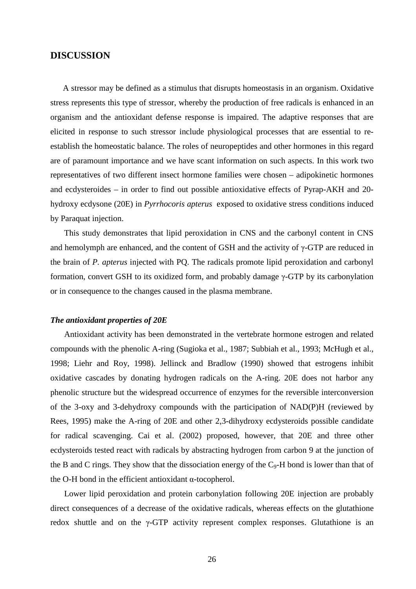## **DISCUSSION**

A stressor may be defined as a stimulus that disrupts homeostasis in an organism. Oxidative stress represents this type of stressor, whereby the production of free radicals is enhanced in an organism and the antioxidant defense response is impaired. The adaptive responses that are elicited in response to such stressor include physiological processes that are essential to reestablish the homeostatic balance. The roles of neuropeptides and other hormones in this regard are of paramount importance and we have scant information on such aspects. In this work two representatives of two different insect hormone families were chosen – adipokinetic hormones and ecdysteroides – in order to find out possible antioxidative effects of Pyrap-AKH and 20 hydroxy ecdysone (20E) in *Pyrrhocoris apterus* exposed to oxidative stress conditions induced by Paraquat injection.

This study demonstrates that lipid peroxidation in CNS and the carbonyl content in CNS and hemolymph are enhanced, and the content of GSH and the activity of  $\gamma$ -GTP are reduced in the brain of *P. apterus* injected with PQ. The radicals promote lipid peroxidation and carbonyl formation, convert GSH to its oxidized form, and probably damage γ-GTP by its carbonylation or in consequence to the changes caused in the plasma membrane.

#### *The antioxidant properties of 20E*

Antioxidant activity has been demonstrated in the vertebrate hormone estrogen and related compounds with the phenolic A-ring (Sugioka et al., 1987; Subbiah et al., 1993; McHugh et al., 1998; Liehr and Roy, 1998). Jellinck and Bradlow (1990) showed that estrogens inhibit oxidative cascades by donating hydrogen radicals on the A-ring. 20E does not harbor any phenolic structure but the widespread occurrence of enzymes for the reversible interconversion of the 3-oxy and 3-dehydroxy compounds with the participation of NAD(P)H (reviewed by Rees, 1995) make the A-ring of 20E and other 2,3-dihydroxy ecdysteroids possible candidate for radical scavenging. Cai et al. (2002) proposed, however, that 20E and three other ecdysteroids tested react with radicals by abstracting hydrogen from carbon 9 at the junction of the B and C rings. They show that the dissociation energy of the  $C_9$ -H bond is lower than that of the O-H bond in the efficient antioxidant α-tocopherol.

Lower lipid peroxidation and protein carbonylation following 20E injection are probably direct consequences of a decrease of the oxidative radicals, whereas effects on the glutathione redox shuttle and on the γ-GTP activity represent complex responses. Glutathione is an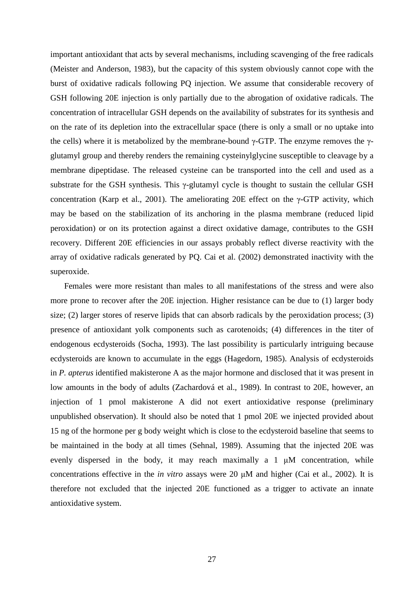important antioxidant that acts by several mechanisms, including scavenging of the free radicals (Meister and Anderson, 1983), but the capacity of this system obviously cannot cope with the burst of oxidative radicals following PQ injection. We assume that considerable recovery of GSH following 20E injection is only partially due to the abrogation of oxidative radicals. The concentration of intracellular GSH depends on the availability of substrates for its synthesis and on the rate of its depletion into the extracellular space (there is only a small or no uptake into the cells) where it is metabolized by the membrane-bound γ-GTP. The enzyme removes the γglutamyl group and thereby renders the remaining cysteinylglycine susceptible to cleavage by a membrane dipeptidase. The released cysteine can be transported into the cell and used as a substrate for the GSH synthesis. This γ-glutamyl cycle is thought to sustain the cellular GSH concentration (Karp et al., 2001). The ameliorating 20E effect on the  $\gamma$ -GTP activity, which may be based on the stabilization of its anchoring in the plasma membrane (reduced lipid peroxidation) or on its protection against a direct oxidative damage, contributes to the GSH recovery. Different 20E efficiencies in our assays probably reflect diverse reactivity with the array of oxidative radicals generated by PQ. Cai et al. (2002) demonstrated inactivity with the superoxide.

Females were more resistant than males to all manifestations of the stress and were also more prone to recover after the 20E injection. Higher resistance can be due to (1) larger body size; (2) larger stores of reserve lipids that can absorb radicals by the peroxidation process; (3) presence of antioxidant yolk components such as carotenoids; (4) differences in the titer of endogenous ecdysteroids (Socha, 1993). The last possibility is particularly intriguing because ecdysteroids are known to accumulate in the eggs (Hagedorn, 1985). Analysis of ecdysteroids in *P. apterus* identified makisterone A as the major hormone and disclosed that it was present in low amounts in the body of adults (Zachardová et al., 1989). In contrast to 20E, however, an injection of 1 pmol makisterone A did not exert antioxidative response (preliminary unpublished observation). It should also be noted that 1 pmol 20E we injected provided about 15 ng of the hormone per g body weight which is close to the ecdysteroid baseline that seems to be maintained in the body at all times (Sehnal, 1989). Assuming that the injected 20E was evenly dispersed in the body, it may reach maximally a 1 µM concentration, while concentrations effective in the *in vitro* assays were 20 µM and higher (Cai et al., 2002). It is therefore not excluded that the injected 20E functioned as a trigger to activate an innate antioxidative system.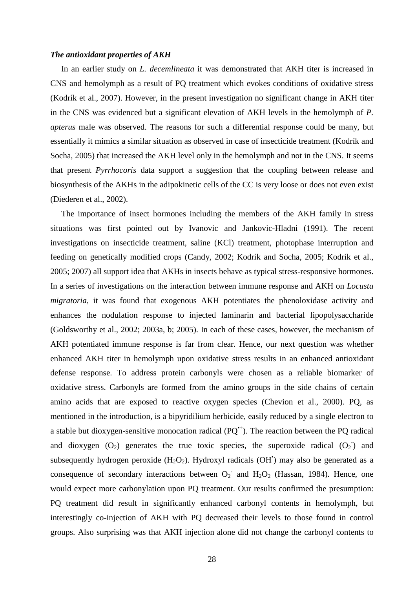#### *The antioxidant properties of AKH*

 In an earlier study on *L. decemlineata* it was demonstrated that AKH titer is increased in CNS and hemolymph as a result of PQ treatment which evokes conditions of oxidative stress (Kodrík et al., 2007). However, in the present investigation no significant change in AKH titer in the CNS was evidenced but a significant elevation of AKH levels in the hemolymph of *P. apterus* male was observed. The reasons for such a differential response could be many, but essentially it mimics a similar situation as observed in case of insecticide treatment (Kodrík and Socha, 2005) that increased the AKH level only in the hemolymph and not in the CNS. It seems that present *Pyrrhocoris* data support a suggestion that the coupling between release and biosynthesis of the AKHs in the adipokinetic cells of the CC is very loose or does not even exist (Diederen et al., 2002).

 The importance of insect hormones including the members of the AKH family in stress situations was first pointed out by Ivanovic and Jankovic-Hladni (1991). The recent investigations on insecticide treatment, saline (KCl) treatment, photophase interruption and feeding on genetically modified crops (Candy, 2002; Kodrík and Socha, 2005; Kodrík et al., 2005; 2007) all support idea that AKHs in insects behave as typical stress-responsive hormones. In a series of investigations on the interaction between immune response and AKH on *Locusta migratoria*, it was found that exogenous AKH potentiates the phenoloxidase activity and enhances the nodulation response to injected laminarin and bacterial lipopolysaccharide (Goldsworthy et al., 2002; 2003a, b; 2005). In each of these cases, however, the mechanism of AKH potentiated immune response is far from clear. Hence, our next question was whether enhanced AKH titer in hemolymph upon oxidative stress results in an enhanced antioxidant defense response. To address protein carbonyls were chosen as a reliable biomarker of oxidative stress. Carbonyls are formed from the amino groups in the side chains of certain amino acids that are exposed to reactive oxygen species (Chevion et al., 2000). PQ, as mentioned in the introduction, is a bipyridilium herbicide, easily reduced by a single electron to a stable but dioxygen-sensitive monocation radical  $(PQ^*)$ . The reaction between the PQ radical and dioxygen  $(O_2)$  generates the true toxic species, the superoxide radical  $(O_2)$  and subsequently hydrogen peroxide  $(H_2O_2)$ . Hydroxyl radicals  $(OH^{\bullet})$  may also be generated as a consequence of secondary interactions between  $O_2$  and  $H_2O_2$  (Hassan, 1984). Hence, one would expect more carbonylation upon PQ treatment. Our results confirmed the presumption: PQ treatment did result in significantly enhanced carbonyl contents in hemolymph, but interestingly co-injection of AKH with PQ decreased their levels to those found in control groups. Also surprising was that AKH injection alone did not change the carbonyl contents to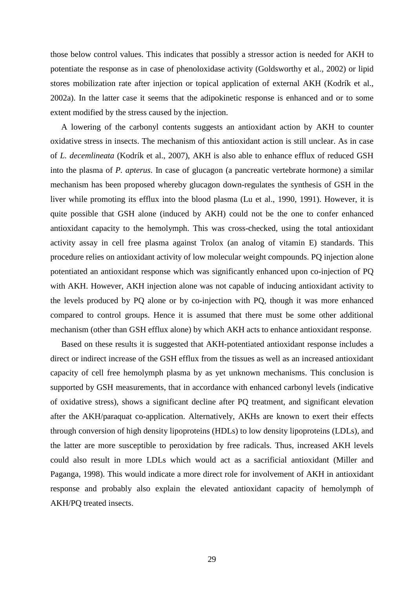those below control values. This indicates that possibly a stressor action is needed for AKH to potentiate the response as in case of phenoloxidase activity (Goldsworthy et al., 2002) or lipid stores mobilization rate after injection or topical application of external AKH (Kodrík et al., 2002a). In the latter case it seems that the adipokinetic response is enhanced and or to some extent modified by the stress caused by the injection.

 A lowering of the carbonyl contents suggests an antioxidant action by AKH to counter oxidative stress in insects. The mechanism of this antioxidant action is still unclear. As in case of *L. decemlineata* (Kodrík et al., 2007), AKH is also able to enhance efflux of reduced GSH into the plasma of *P. apterus*. In case of glucagon (a pancreatic vertebrate hormone) a similar mechanism has been proposed whereby glucagon down-regulates the synthesis of GSH in the liver while promoting its efflux into the blood plasma (Lu et al., 1990, 1991). However, it is quite possible that GSH alone (induced by AKH) could not be the one to confer enhanced antioxidant capacity to the hemolymph. This was cross-checked, using the total antioxidant activity assay in cell free plasma against Trolox (an analog of vitamin E) standards. This procedure relies on antioxidant activity of low molecular weight compounds. PQ injection alone potentiated an antioxidant response which was significantly enhanced upon co-injection of PQ with AKH. However, AKH injection alone was not capable of inducing antioxidant activity to the levels produced by PQ alone or by co-injection with PQ, though it was more enhanced compared to control groups. Hence it is assumed that there must be some other additional mechanism (other than GSH efflux alone) by which AKH acts to enhance antioxidant response.

 Based on these results it is suggested that AKH-potentiated antioxidant response includes a direct or indirect increase of the GSH efflux from the tissues as well as an increased antioxidant capacity of cell free hemolymph plasma by as yet unknown mechanisms. This conclusion is supported by GSH measurements, that in accordance with enhanced carbonyl levels (indicative of oxidative stress), shows a significant decline after PQ treatment, and significant elevation after the AKH/paraquat co-application. Alternatively, AKHs are known to exert their effects through conversion of high density lipoproteins (HDLs) to low density lipoproteins (LDLs), and the latter are more susceptible to peroxidation by free radicals. Thus, increased AKH levels could also result in more LDLs which would act as a sacrificial antioxidant (Miller and Paganga, 1998). This would indicate a more direct role for involvement of AKH in antioxidant response and probably also explain the elevated antioxidant capacity of hemolymph of AKH/PQ treated insects.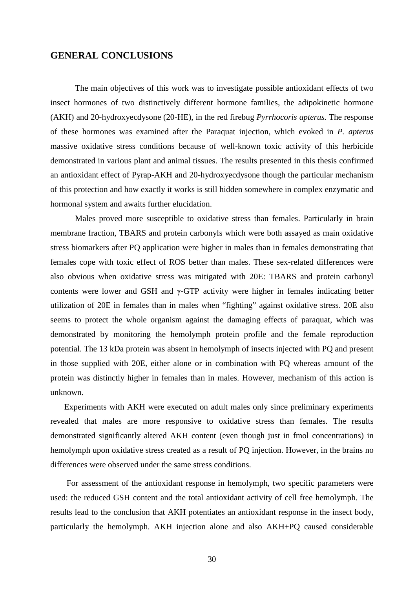# **GENERAL CONCLUSIONS**

The main objectives of this work was to investigate possible antioxidant effects of two insect hormones of two distinctively different hormone families, the adipokinetic hormone (AKH) and 20-hydroxyecdysone (20-HE), in the red firebug *Pyrrhocoris apterus.* The response of these hormones was examined after the Paraquat injection, which evoked in *P. apterus* massive oxidative stress conditions because of well-known toxic activity of this herbicide demonstrated in various plant and animal tissues. The results presented in this thesis confirmed an antioxidant effect of Pyrap-AKH and 20-hydroxyecdysone though the particular mechanism of this protection and how exactly it works is still hidden somewhere in complex enzymatic and hormonal system and awaits further elucidation.

Males proved more susceptible to oxidative stress than females. Particularly in brain membrane fraction, TBARS and protein carbonyls which were both assayed as main oxidative stress biomarkers after PQ application were higher in males than in females demonstrating that females cope with toxic effect of ROS better than males. These sex-related differences were also obvious when oxidative stress was mitigated with 20E: TBARS and protein carbonyl contents were lower and GSH and γ-GTP activity were higher in females indicating better utilization of 20E in females than in males when "fighting" against oxidative stress. 20E also seems to protect the whole organism against the damaging effects of paraquat, which was demonstrated by monitoring the hemolymph protein profile and the female reproduction potential. The 13 kDa protein was absent in hemolymph of insects injected with PQ and present in those supplied with 20E, either alone or in combination with PQ whereas amount of the protein was distinctly higher in females than in males. However, mechanism of this action is unknown.

Experiments with AKH were executed on adult males only since preliminary experiments revealed that males are more responsive to oxidative stress than females. The results demonstrated significantly altered AKH content (even though just in fmol concentrations) in hemolymph upon oxidative stress created as a result of PQ injection. However, in the brains no differences were observed under the same stress conditions.

For assessment of the antioxidant response in hemolymph, two specific parameters were used: the reduced GSH content and the total antioxidant activity of cell free hemolymph. The results lead to the conclusion that AKH potentiates an antioxidant response in the insect body, particularly the hemolymph. AKH injection alone and also AKH+PQ caused considerable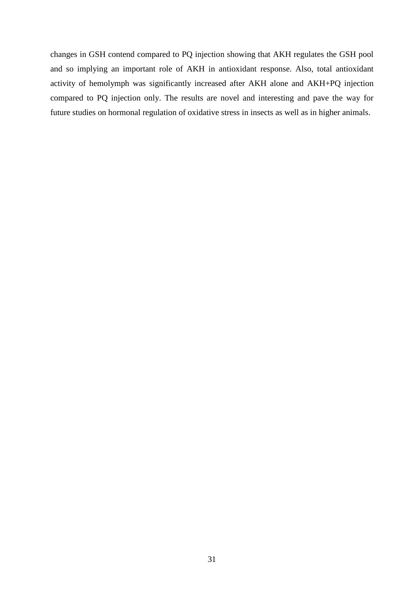changes in GSH contend compared to PQ injection showing that AKH regulates the GSH pool and so implying an important role of AKH in antioxidant response. Also, total antioxidant activity of hemolymph was significantly increased after AKH alone and AKH+PQ injection compared to PQ injection only. The results are novel and interesting and pave the way for future studies on hormonal regulation of oxidative stress in insects as well as in higher animals.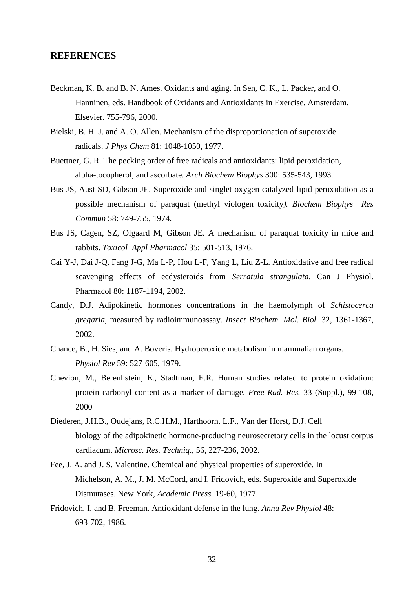## **REFERENCES**

- Beckman, K. B. and B. N. Ames. Oxidants and aging. In Sen, C. K., L. Packer, and O. Hanninen, eds. Handbook of Oxidants and Antioxidants in Exercise. Amsterdam, Elsevier. 755-796, 2000.
- Bielski, B. H. J. and A. O. Allen. Mechanism of the disproportionation of superoxide radicals. *J Phys Chem* 81: 1048-1050, 1977.
- Buettner, G. R. The pecking order of free radicals and antioxidants: lipid peroxidation, alpha-tocopherol, and ascorbate. *Arch Biochem Biophys* 300: 535-543, 1993.
- Bus JS, Aust SD, Gibson JE. Superoxide and singlet oxygen-catalyzed lipid peroxidation as a possible mechanism of paraquat (methyl viologen toxicity*). Biochem Biophys Res Commun* 58: 749-755, 1974.
- Bus JS, Cagen, SZ, Olgaard M, Gibson JE. A mechanism of paraquat toxicity in mice and rabbits. *Toxicol Appl Pharmacol* 35: 501-513, 1976.
- Cai Y-J, Dai J-Q, Fang J-G, Ma L-P, Hou L-F, Yang L, Liu Z-L. Antioxidative and free radical scavenging effects of ecdysteroids from *Serratula strangulata*. Can J Physiol. Pharmacol 80: 1187-1194, 2002.
- Candy, D.J. Adipokinetic hormones concentrations in the haemolymph of *Schistocerca gregaria*, measured by radioimmunoassay. *Insect Biochem. Mol. Biol.* 32, 1361-1367, 2002.
- Chance, B., H. Sies, and A. Boveris. Hydroperoxide metabolism in mammalian organs. *Physiol Rev* 59: 527-605, 1979.
- Chevion, M., Berenhstein, E., Stadtman, E.R. Human studies related to protein oxidation: protein carbonyl content as a marker of damage*. Free Rad. Res.* 33 (Suppl.), 99-108, 2000
- Diederen, J.H.B., Oudejans, R.C.H.M., Harthoorn, L.F., Van der Horst, D.J. Cell biology of the adipokinetic hormone-producing neurosecretory cells in the locust corpus cardiacum. *Microsc. Res. Techniq*., 56, 227-236, 2002.
- Fee, J. A. and J. S. Valentine. Chemical and physical properties of superoxide. In Michelson, A. M., J. M. McCord, and I. Fridovich, eds. Superoxide and Superoxide Dismutases. New York, *Academic Press.* 19-60, 1977.
- Fridovich, I. and B. Freeman. Antioxidant defense in the lung. *Annu Rev Physiol* 48: 693-702, 1986.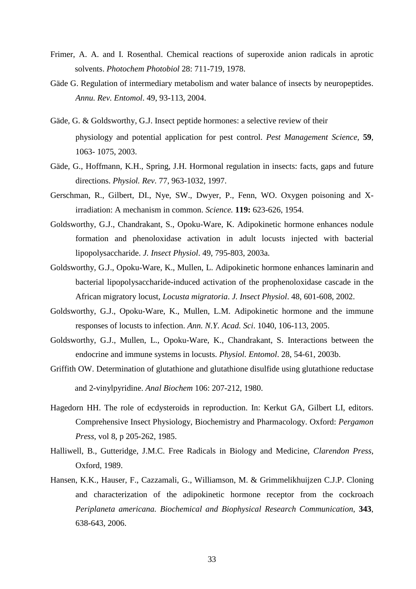- Frimer, A. A. and I. Rosenthal. Chemical reactions of superoxide anion radicals in aprotic solvents. *Photochem Photobiol* 28: 711-719, 1978.
- Gäde G. Regulation of intermediary metabolism and water balance of insects by neuropeptides. *Annu. Rev. Entomol*. 49, 93-113, 2004.
- Gäde, G. & Goldsworthy, G.J. Insect peptide hormones: a selective review of their physiology and potential application for pest control. *Pest Management Science,* **59**, 1063- 1075, 2003.
- Gäde, G., Hoffmann, K.H., Spring, J.H. Hormonal regulation in insects: facts, gaps and future directions. *Physiol. Rev*. 77, 963-1032, 1997.
- Gerschman, R., Gilbert, DI., Nye, SW., Dwyer, P., Fenn, WO. Oxygen poisoning and Xirradiation: A mechanism in common. *Science.* **119:** 623-626, 1954.
- Goldsworthy, G.J., Chandrakant, S., Opoku-Ware, K. Adipokinetic hormone enhances nodule formation and phenoloxidase activation in adult locusts injected with bacterial lipopolysaccharide. *J. Insect Physiol*. 49, 795-803, 2003a.
- Goldsworthy, G.J., Opoku-Ware, K., Mullen, L. Adipokinetic hormone enhances laminarin and bacterial lipopolysaccharide-induced activation of the prophenoloxidase cascade in the African migratory locust, *Locusta migratoria*. *J. Insect Physiol*. 48, 601-608, 2002.
- Goldsworthy, G.J., Opoku-Ware, K., Mullen, L.M. Adipokinetic hormone and the immune responses of locusts to infection. *Ann. N.Y. Acad. Sci*. 1040, 106-113, 2005.
- Goldsworthy, G.J., Mullen, L., Opoku-Ware, K., Chandrakant, S. Interactions between the endocrine and immune systems in locusts. *Physiol. Entomol*. 28, 54-61, 2003b.
- Griffith OW. Determination of glutathione and glutathione disulfide using glutathione reductase and 2-vinylpyridine. *Anal Biochem* 106: 207-212, 1980.
- Hagedorn HH. The role of ecdysteroids in reproduction. In: Kerkut GA, Gilbert LI, editors. Comprehensive Insect Physiology, Biochemistry and Pharmacology. Oxford: *Pergamon Press*, vol 8, p 205-262, 1985.
- Halliwell, B., Gutteridge, J.M.C. Free Radicals in Biology and Medicine, *Clarendon Press*, Oxford, 1989.
- Hansen, K.K., Hauser, F., Cazzamali, G., Williamson, M. & Grimmelikhuijzen C.J.P. Cloning and characterization of the adipokinetic hormone receptor from the cockroach *Periplaneta americana. Biochemical and Biophysical Research Communication*, **343**, 638-643, 2006.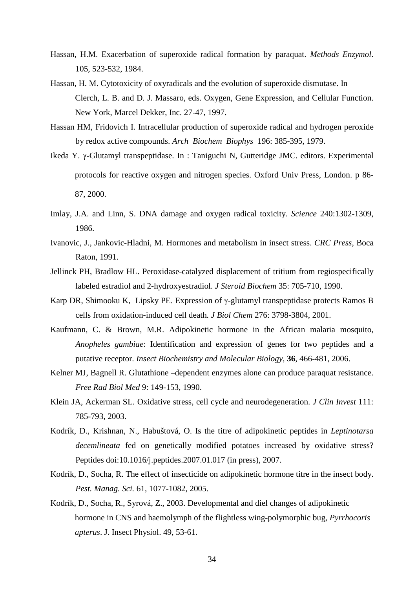- Hassan, H.M. Exacerbation of superoxide radical formation by paraquat. *Methods Enzymol*. 105, 523-532, 1984.
- Hassan, H. M. Cytotoxicity of oxyradicals and the evolution of superoxide dismutase. In Clerch, L. B. and D. J. Massaro, eds. Oxygen, Gene Expression, and Cellular Function. New York, Marcel Dekker, Inc. 27-47, 1997.
- Hassan HM, Fridovich I. Intracellular production of superoxide radical and hydrogen peroxide by redox active compounds. *Arch Biochem Biophys* 196: 385-395, 1979.
- Ikeda Y. γ-Glutamyl transpeptidase. In : Taniguchi N, Gutteridge JMC. editors. Experimental protocols for reactive oxygen and nitrogen species. Oxford Univ Press, London. p 86- 87, 2000.
- Imlay, J.A. and Linn, S. DNA damage and oxygen radical toxicity. *Science* 240:1302-1309, 1986.
- Ivanovic, J., Jankovic-Hladni, M. Hormones and metabolism in insect stress. *CRC Press*, Boca Raton, 1991.
- Jellinck PH, Bradlow HL. Peroxidase-catalyzed displacement of tritium from regiospecifically labeled estradiol and 2-hydroxyestradiol. *J Steroid Biochem* 35: 705-710, 1990.
- Karp DR, Shimooku K, Lipsky PE. Expression of γ-glutamyl transpeptidase protects Ramos B cells from oxidation-induced cell death*. J Biol Chem* 276: 3798-3804, 2001.
- Kaufmann, C. & Brown, M.R. Adipokinetic hormone in the African malaria mosquito, *Anopheles gambiae*: Identification and expression of genes for two peptides and a putative receptor. *Insect Biochemistry and Molecular Biology*, **36**, 466-481, 2006.
- Kelner MJ, Bagnell R. Glutathione –dependent enzymes alone can produce paraquat resistance. *Free Rad Biol Med* 9: 149-153, 1990.
- Klein JA, Ackerman SL. Oxidative stress, cell cycle and neurodegeneration. *J Clin Invest* 111: 785-793, 2003.
- Kodrík, D., Krishnan, N., Habuštová, O. Is the titre of adipokinetic peptides in *Leptinotarsa decemlineata* fed on genetically modified potatoes increased by oxidative stress? Peptides doi:10.1016/j.peptides.2007.01.017 (in press), 2007.
- Kodrík, D., Socha, R. The effect of insecticide on adipokinetic hormone titre in the insect body. *Pest. Manag. Sci.* 61, 1077-1082, 2005.
- Kodrík, D., Socha, R., Syrová, Z., 2003. Developmental and diel changes of adipokinetic hormone in CNS and haemolymph of the flightless wing-polymorphic bug, *Pyrrhocoris apterus*. J. Insect Physiol. 49, 53-61.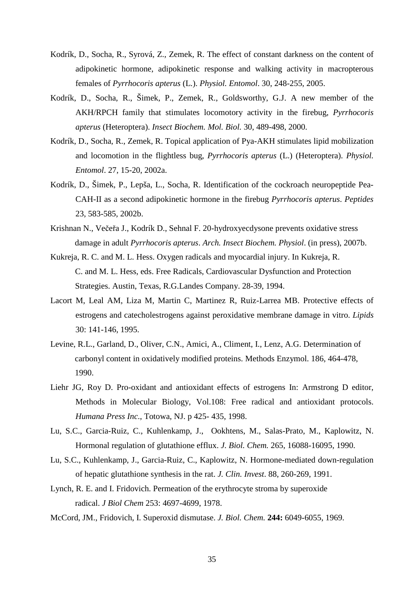- Kodrík, D., Socha, R., Syrová, Z., Zemek, R. The effect of constant darkness on the content of adipokinetic hormone, adipokinetic response and walking activity in macropterous females of *Pyrrhocoris apterus* (L.). *Physiol. Entomol*. 30, 248-255, 2005.
- Kodrík, D., Socha, R., Šimek, P., Zemek, R., Goldsworthy, G.J. A new member of the AKH/RPCH family that stimulates locomotory activity in the firebug, *Pyrrhocoris apterus* (Heteroptera). *Insect Biochem. Mol. Biol.* 30, 489-498, 2000.
- Kodrík, D., Socha, R., Zemek, R. Topical application of Pya-AKH stimulates lipid mobilization and locomotion in the flightless bug, *Pyrrhocoris apterus* (L.) (Heteroptera). *Physiol. Entomol*. 27, 15-20, 2002a.
- Kodrík, D., Šimek, P., Lepša, L., Socha, R. Identification of the cockroach neuropeptide Pea-CAH-II as a second adipokinetic hormone in the firebug *Pyrrhocoris apterus*. *Peptides*  23, 583-585, 2002b.
- Krishnan N., Večeřa J., Kodrík D., Sehnal F. 20-hydroxyecdysone prevents oxidative stress damage in adult *Pyrrhocoris apterus*. *Arch. Insect Biochem. Physiol*. (in press), 2007b.
- Kukreja, R. C. and M. L. Hess. Oxygen radicals and myocardial injury. In Kukreja, R. C. and M. L. Hess, eds. Free Radicals, Cardiovascular Dysfunction and Protection Strategies. Austin, Texas, R.G.Landes Company. 28-39, 1994.
- Lacort M, Leal AM, Liza M, Martin C, Martinez R, Ruiz-Larrea MB. Protective effects of estrogens and catecholestrogens against peroxidative membrane damage in vitro. *Lipids*  30: 141-146, 1995.
- Levine, R.L., Garland, D., Oliver, C.N., Amici, A., Climent, I., Lenz, A.G. Determination of carbonyl content in oxidatively modified proteins. Methods Enzymol. 186, 464-478, 1990.
- Liehr JG, Roy D. Pro-oxidant and antioxidant effects of estrogens In: Armstrong D editor, Methods in Molecular Biology, Vol.108: Free radical and antioxidant protocols. *Humana Press Inc*., Totowa, NJ. p 425- 435, 1998.
- Lu, S.C., Garcia-Ruiz, C., Kuhlenkamp, J., Ookhtens, M., Salas-Prato, M., Kaplowitz, N. Hormonal regulation of glutathione efflux. *J. Biol. Chem.* 265, 16088-16095, 1990.
- Lu, S.C., Kuhlenkamp, J., Garcia-Ruiz, C., Kaplowitz, N. Hormone-mediated down-regulation of hepatic glutathione synthesis in the rat. *J. Clin. Invest*. 88, 260-269, 1991.
- Lynch, R. E. and I. Fridovich. Permeation of the erythrocyte stroma by superoxide radical. *J Biol Chem* 253: 4697-4699, 1978.
- McCord, JM., Fridovich, I. Superoxid dismutase. *J. Biol. Chem.* **244:** 6049-6055, 1969.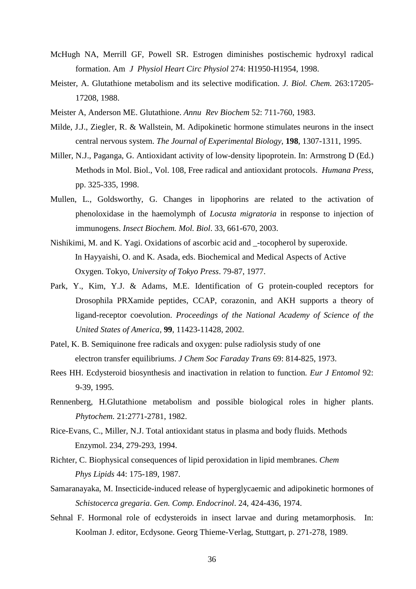- McHugh NA, Merrill GF, Powell SR. Estrogen diminishes postischemic hydroxyl radical formation. Am *J Physiol Heart Circ Physiol* 274: H1950-H1954, 1998.
- Meister, A. Glutathione metabolism and its selective modification. *J. Biol. Chem.* 263:17205- 17208, 1988.
- Meister A, Anderson ME. Glutathione. *Annu Rev Biochem* 52: 711-760, 1983.
- Milde, J.J., Ziegler, R. & Wallstein, M. Adipokinetic hormone stimulates neurons in the insect central nervous system. *The Journal of Experimental Biology*, **198**, 1307-1311, 1995.
- Miller, N.J., Paganga, G. Antioxidant activity of low-density lipoprotein. In: Armstrong D (Ed.) Methods in Mol. Biol., Vol. 108, Free radical and antioxidant protocols. *Humana Press*, pp. 325-335, 1998.
- Mullen, L., Goldsworthy, G. Changes in lipophorins are related to the activation of phenoloxidase in the haemolymph of *Locusta migratoria* in response to injection of immunogens. *Insect Biochem. Mol. Biol*. 33, 661-670, 2003.
- Nishikimi, M. and K. Yagi. Oxidations of ascorbic acid and \_-tocopherol by superoxide. In Hayyaishi, O. and K. Asada, eds. Biochemical and Medical Aspects of Active Oxygen. Tokyo, *University of Tokyo Press*. 79-87, 1977.
- Park, Y., Kim, Y.J. & Adams, M.E. Identification of G protein-coupled receptors for Drosophila PRXamide peptides, CCAP, corazonin, and AKH supports a theory of ligand-receptor coevolution. *Proceedings of the National Academy of Science of the United States of America,* **99**, 11423-11428, 2002.
- Patel, K. B. Semiquinone free radicals and oxygen: pulse radiolysis study of one electron transfer equilibriums. *J Chem Soc Faraday Trans* 69: 814-825, 1973.
- Rees HH. Ecdysteroid biosynthesis and inactivation in relation to function*. Eur J Entomol* 92: 9-39, 1995.
- Rennenberg, H.Glutathione metabolism and possible biological roles in higher plants. *Phytochem.* 21:2771-2781, 1982.
- Rice-Evans, C., Miller, N.J. Total antioxidant status in plasma and body fluids. Methods Enzymol. 234, 279-293, 1994.
- Richter, C. Biophysical consequences of lipid peroxidation in lipid membranes. *Chem Phys Lipids* 44: 175-189, 1987.
- Samaranayaka, M. Insecticide-induced release of hyperglycaemic and adipokinetic hormones of *Schistocerca gregaria*. *Gen. Comp. Endocrinol*. 24, 424-436, 1974.
- Sehnal F. Hormonal role of ecdysteroids in insect larvae and during metamorphosis. In: Koolman J. editor, Ecdysone. Georg Thieme-Verlag, Stuttgart, p. 271-278, 1989.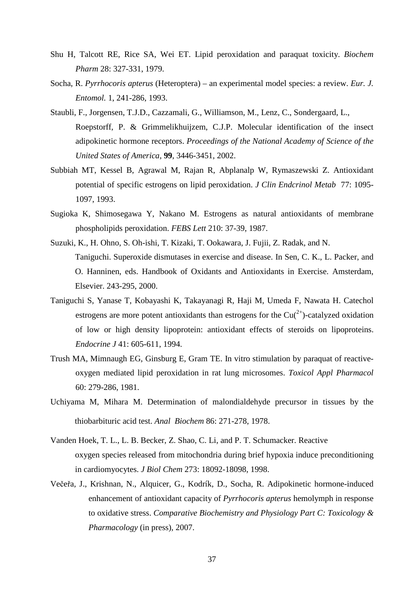- Shu H, Talcott RE, Rice SA, Wei ET. Lipid peroxidation and paraquat toxicity. *Biochem Pharm* 28: 327-331, 1979.
- Socha, R. *Pyrrhocoris apterus* (Heteroptera) an experimental model species: a review. *Eur. J. Entomol.* 1, 241-286, 1993.
- Staubli, F., Jorgensen, T.J.D., Cazzamali, G., Williamson, M., Lenz, C., Sondergaard, L., Roepstorff, P. & Grimmelikhuijzem, C.J.P. Molecular identification of the insect adipokinetic hormone receptors. *Proceedings of the National Academy of Science of the United States of America,* **99**, 3446-3451, 2002.
- Subbiah MT, Kessel B, Agrawal M, Rajan R, Abplanalp W, Rymaszewski Z. Antioxidant potential of specific estrogens on lipid peroxidation. *J Clin Endcrinol Metab* 77: 1095- 1097, 1993.
- Sugioka K, Shimosegawa Y, Nakano M. Estrogens as natural antioxidants of membrane phospholipids peroxidation. *FEBS Lett* 210: 37-39, 1987.
- Suzuki, K., H. Ohno, S. Oh-ishi, T. Kizaki, T. Ookawara, J. Fujii, Z. Radak, and N. Taniguchi. Superoxide dismutases in exercise and disease. In Sen, C. K., L. Packer, and O. Hanninen, eds. Handbook of Oxidants and Antioxidants in Exercise. Amsterdam, Elsevier. 243-295, 2000.
- Taniguchi S, Yanase T, Kobayashi K, Takayanagi R, Haji M, Umeda F, Nawata H. Catechol estrogens are more potent antioxidants than estrogens for the  $Cu<sup>(2+)</sup>$ -catalyzed oxidation of low or high density lipoprotein: antioxidant effects of steroids on lipoproteins. *Endocrine J* 41: 605-611, 1994.
- Trush MA, Mimnaugh EG, Ginsburg E, Gram TE. In vitro stimulation by paraquat of reactiveoxygen mediated lipid peroxidation in rat lung microsomes. *Toxicol Appl Pharmacol* 60: 279-286, 1981.
- Uchiyama M, Mihara M. Determination of malondialdehyde precursor in tissues by the thiobarbituric acid test. *Anal Biochem* 86: 271-278, 1978.
- Vanden Hoek, T. L., L. B. Becker, Z. Shao, C. Li, and P. T. Schumacker. Reactive oxygen species released from mitochondria during brief hypoxia induce preconditioning in cardiomyocytes. *J Biol Chem* 273: 18092-18098, 1998.
- Večeřa, J., Krishnan, N., Alquicer, G., Kodrík, D., Socha, R. Adipokinetic hormone-induced enhancement of antioxidant capacity of *Pyrrhocoris apterus* hemolymph in response to oxidative stress. *Comparative Biochemistry and Physiology Part C: Toxicology & Pharmacology* (in press)*,* 2007.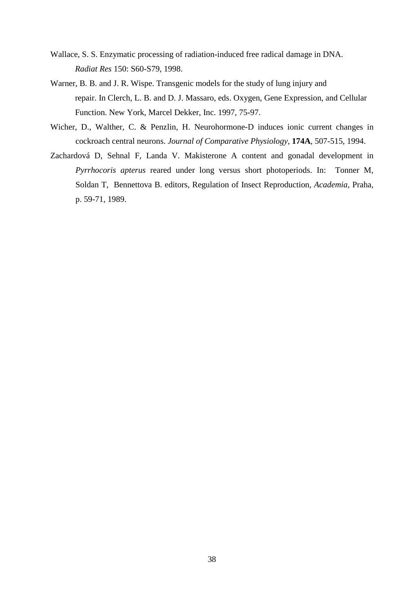- Wallace, S. S. Enzymatic processing of radiation-induced free radical damage in DNA. *Radiat Res* 150: S60-S79, 1998.
- Warner, B. B. and J. R. Wispe. Transgenic models for the study of lung injury and repair. In Clerch, L. B. and D. J. Massaro, eds. Oxygen, Gene Expression, and Cellular Function. New York, Marcel Dekker, Inc. 1997, 75-97.
- Wicher, D., Walther, C. & Penzlin, H. Neurohormone-D induces ionic current changes in cockroach central neurons. *Journal of Comparative Physiology*, **174A**, 507-515, 1994.
- Zachardová D, Sehnal F, Landa V. Makisterone A content and gonadal development in *Pyrrhocoris apterus* reared under long versus short photoperiods. In: Tonner M, Soldan T, Bennettova B. editors, Regulation of Insect Reproduction, *Academia*, Praha, p. 59-71, 1989.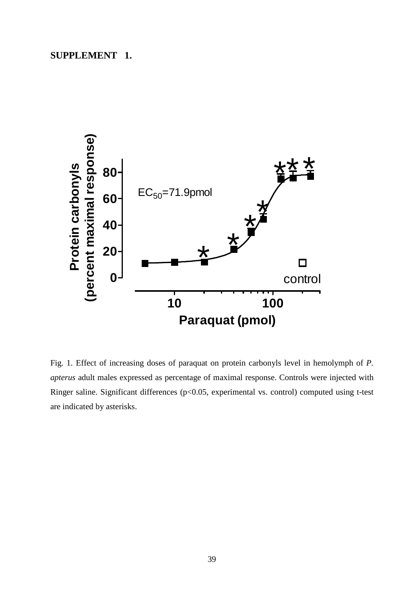# **SUPPLEMENT 1.**



Fig. 1. Effect of increasing doses of paraquat on protein carbonyls level in hemolymph of *P. apterus* adult males expressed as percentage of maximal response. Controls were injected with Ringer saline. Significant differences (p<0.05, experimental vs. control) computed using t-test are indicated by asterisks.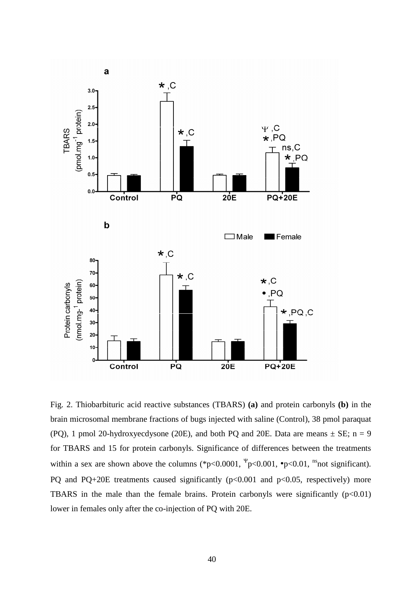

Fig. 2. Thiobarbituric acid reactive substances (TBARS) **(a)** and protein carbonyls **(b)** in the brain microsomal membrane fractions of bugs injected with saline (Control), 38 pmol paraquat (PQ), 1 pmol 20-hydroxyecdysone (20E), and both PQ and 20E. Data are means  $\pm$  SE; n = 9 for TBARS and 15 for protein carbonyls. Significance of differences between the treatments within a sex are shown above the columns (\*p<0.0001,  $\frac{\Psi}{P}$  <0.001, •p<0.01, <sup>ns</sup>not significant). PQ and PQ+20E treatments caused significantly  $(p<0.001$  and  $p<0.05$ , respectively) more TBARS in the male than the female brains. Protein carbonyls were significantly  $(p<0.01)$ lower in females only after the co-injection of PQ with 20E.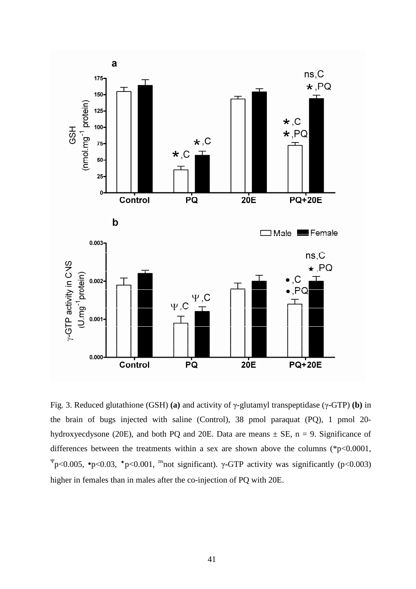

Fig. 3. Reduced glutathione (GSH) **(a)** and activity of γ-glutamyl transpeptidase (γ**-**GTP) **(b)** in the brain of bugs injected with saline (Control), 38 pmol paraquat (PQ), 1 pmol 20 hydroxyecdysone (20E), and both PQ and 20E. Data are means  $\pm$  SE, n = 9. Significance of differences between the treatments within a sex are shown above the columns (\*p<0.0001, <sup>Ψ</sup>p<0.005, •p<0.03, <sup>\*</sup>p<0.001, <sup>ns</sup>not significant). γ-GTP activity was significantly (p<0.003) higher in females than in males after the co-injection of PQ with 20E.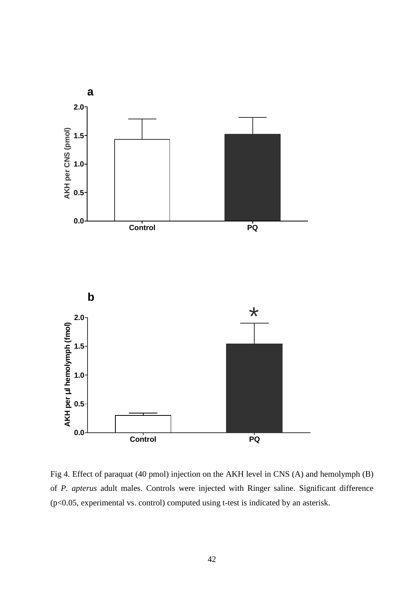

Fig 4. Effect of paraquat (40 pmol) injection on the AKH level in CNS (A) and hemolymph (B) of *P. apterus* adult males. Controls were injected with Ringer saline. Significant difference (p<0.05, experimental vs. control) computed using t-test is indicated by an asterisk.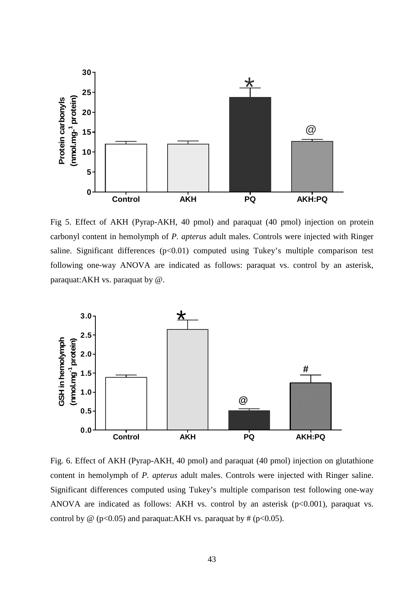

Fig 5. Effect of AKH (Pyrap-AKH, 40 pmol) and paraquat (40 pmol) injection on protein carbonyl content in hemolymph of *P. apterus* adult males. Controls were injected with Ringer saline. Significant differences  $(p<0.01)$  computed using Tukey's multiple comparison test following one-way ANOVA are indicated as follows: paraquat vs. control by an asterisk, paraquat:AKH vs. paraquat by @.



Fig. 6. Effect of AKH (Pyrap-AKH, 40 pmol) and paraquat (40 pmol) injection on glutathione content in hemolymph of *P. apterus* adult males. Controls were injected with Ringer saline. Significant differences computed using Tukey's multiple comparison test following one-way ANOVA are indicated as follows: AKH vs. control by an asterisk (p<0.001), paraquat vs. control by  $\omega$  (p<0.05) and paraquat:AKH vs. paraquat by # (p<0.05).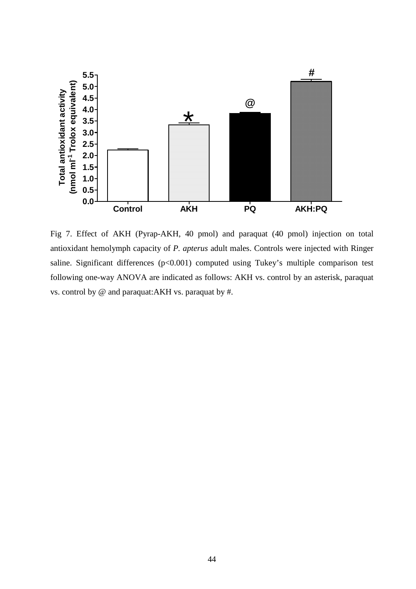

Fig 7. Effect of AKH (Pyrap-AKH, 40 pmol) and paraquat (40 pmol) injection on total antioxidant hemolymph capacity of *P. apterus* adult males. Controls were injected with Ringer saline. Significant differences  $(p<0.001)$  computed using Tukey's multiple comparison test following one-way ANOVA are indicated as follows: AKH vs. control by an asterisk, paraquat vs. control by @ and paraquat:AKH vs. paraquat by #.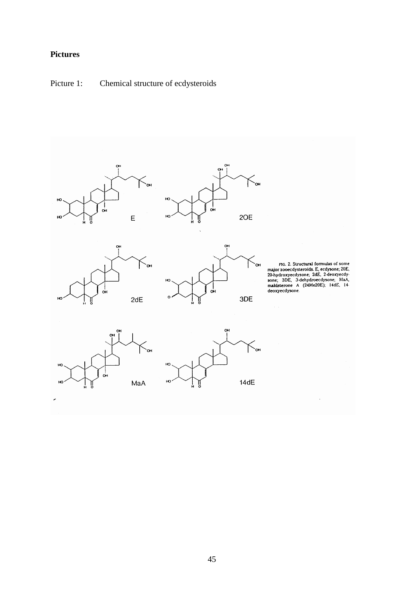# **Pictures**

Picture 1: Chemical structure of ecdysteroids









FIG. 2. Structural formulas of some<br>major zooecdysteroids. E, ecdysone; 20E,<br>20-hydroxyecdysone; 2dE, 2-deoxyecdy-<br>sone; 3DE, 3-dehydroecdysone; MaA,<br>makisterone Λ (24Me20E); 14dE, 14-<br>deoxyecdysone.



J.

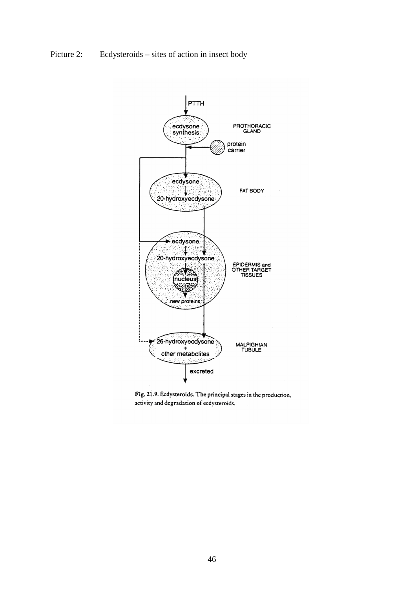Picture 2: Ecdysteroids – sites of action in insect body



Fig. 21.9. Ecdysteroids. The principal stages in the production, activity and degradation of ecdysteroids.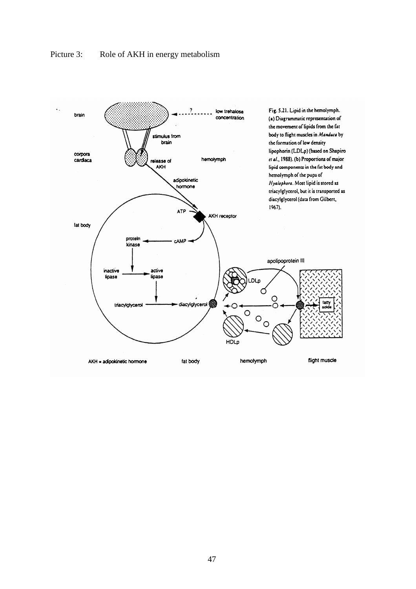

## Picture 3: Role of AKH in energy metabolism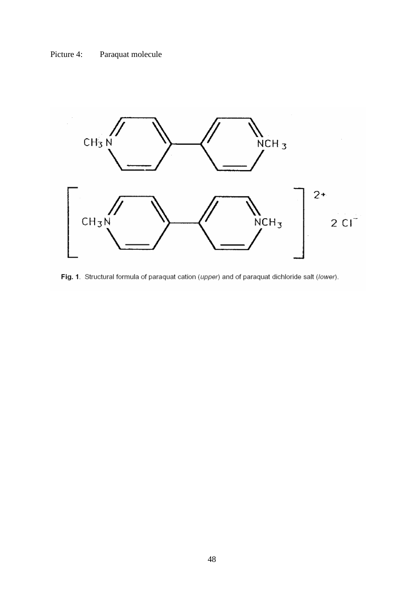Picture 4: Paraquat molecule



Fig. 1. Structural formula of paraquat cation (upper) and of paraquat dichloride salt (lower).